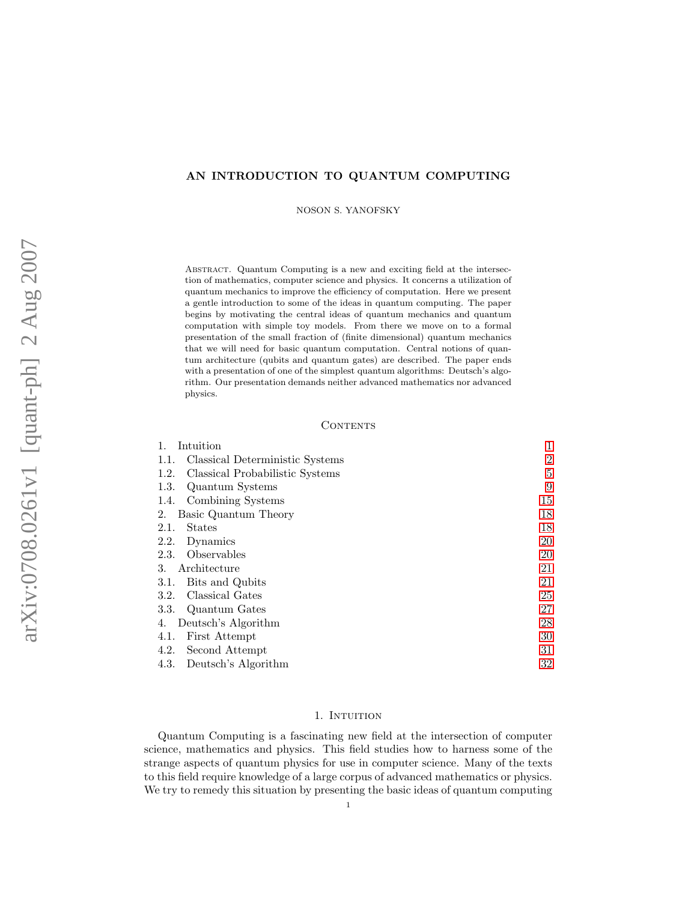# AN INTRODUCTION TO QUANTUM COMPUTING

NOSON S. YANOFSKY

Abstract. Quantum Computing is a new and exciting field at the intersection of mathematics, computer science and physics. It concerns a utilization of quantum mechanics to improve the efficiency of computation. Here we present a gentle introduction to some of the ideas in quantum computing. The paper begins by motivating the central ideas of quantum mechanics and quantum computation with simple toy models. From there we move on to a formal presentation of the small fraction of (finite dimensional) quantum mechanics that we will need for basic quantum computation. Central notions of quantum architecture (qubits and quantum gates) are described. The paper ends with a presentation of one of the simplest quantum algorithms: Deutsch's algorithm. Our presentation demands neither advanced mathematics nor advanced physics.

## CONTENTS

| Intuition                               |                |
|-----------------------------------------|----------------|
| Classical Deterministic Systems<br>1.1. | $\overline{2}$ |
| Classical Probabilistic Systems<br>1.2. | 5              |
| Quantum Systems<br>1.3.                 | 9              |
| Combining Systems<br>1.4.               | 15             |
| Basic Quantum Theory<br>2.              | 18             |
| <b>States</b><br>2.1.                   | 18             |
| 2.2.<br>Dynamics                        | 20             |
| Observables<br>2.3.                     | 20             |
| Architecture<br>3.                      | 21             |
| Bits and Qubits<br>3.1.                 | 21             |
| Classical Gates<br>3.2.                 | 25             |
| Quantum Gates<br>3.3.                   | 27             |
| Deutsch's Algorithm<br>4.               | 28             |
| First Attempt<br>4.1.                   | 30             |
| Second Attempt<br>4.2.                  | 31             |
| Deutsch's Algorithm<br>4.3.             | 32             |

# 1. INTUITION

<span id="page-0-0"></span>Quantum Computing is a fascinating new field at the intersection of computer science, mathematics and physics. This field studies how to harness some of the strange aspects of quantum physics for use in computer science. Many of the texts to this field require knowledge of a large corpus of advanced mathematics or physics. We try to remedy this situation by presenting the basic ideas of quantum computing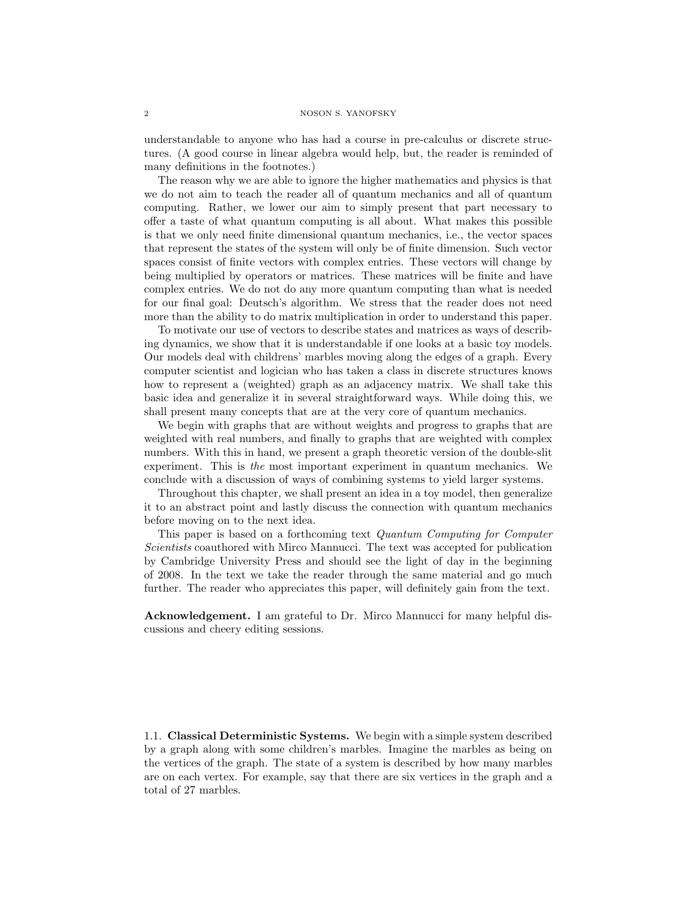#### 2 NOSON S. YANOFSKY

understandable to anyone who has had a course in pre-calculus or discrete structures. (A good course in linear algebra would help, but, the reader is reminded of many definitions in the footnotes.)

The reason why we are able to ignore the higher mathematics and physics is that we do not aim to teach the reader all of quantum mechanics and all of quantum computing. Rather, we lower our aim to simply present that part necessary to offer a taste of what quantum computing is all about. What makes this possible is that we only need finite dimensional quantum mechanics, i.e., the vector spaces that represent the states of the system will only be of finite dimension. Such vector spaces consist of finite vectors with complex entries. These vectors will change by being multiplied by operators or matrices. These matrices will be finite and have complex entries. We do not do any more quantum computing than what is needed for our final goal: Deutsch's algorithm. We stress that the reader does not need more than the ability to do matrix multiplication in order to understand this paper.

To motivate our use of vectors to describe states and matrices as ways of describing dynamics, we show that it is understandable if one looks at a basic toy models. Our models deal with childrens' marbles moving along the edges of a graph. Every computer scientist and logician who has taken a class in discrete structures knows how to represent a (weighted) graph as an adjacency matrix. We shall take this basic idea and generalize it in several straightforward ways. While doing this, we shall present many concepts that are at the very core of quantum mechanics.

We begin with graphs that are without weights and progress to graphs that are weighted with real numbers, and finally to graphs that are weighted with complex numbers. With this in hand, we present a graph theoretic version of the double-slit experiment. This is the most important experiment in quantum mechanics. We conclude with a discussion of ways of combining systems to yield larger systems.

Throughout this chapter, we shall present an idea in a toy model, then generalize it to an abstract point and lastly discuss the connection with quantum mechanics before moving on to the next idea.

This paper is based on a forthcoming text Quantum Computing for Computer Scientists coauthored with Mirco Mannucci. The text was accepted for publication by Cambridge University Press and should see the light of day in the beginning of 2008. In the text we take the reader through the same material and go much further. The reader who appreciates this paper, will definitely gain from the text.

Acknowledgement. I am grateful to Dr. Mirco Mannucci for many helpful discussions and cheery editing sessions.

<span id="page-1-0"></span>1.1. Classical Deterministic Systems. We begin with a simple system described by a graph along with some children's marbles. Imagine the marbles as being on the vertices of the graph. The state of a system is described by how many marbles are on each vertex. For example, say that there are six vertices in the graph and a total of 27 marbles.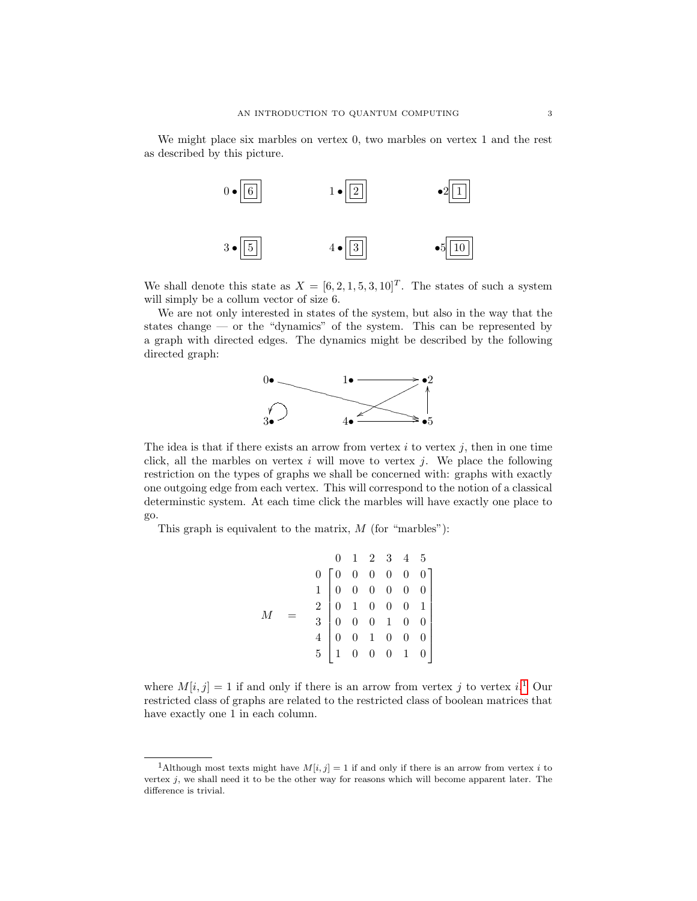We might place six marbles on vertex 0, two marbles on vertex 1 and the rest as described by this picture.



We shall denote this state as  $X = [6, 2, 1, 5, 3, 10]^T$ . The states of such a system will simply be a collum vector of size 6.

We are not only interested in states of the system, but also in the way that the states change — or the "dynamics" of the system. This can be represented by a graph with directed edges. The dynamics might be described by the following directed graph:



The idea is that if there exists an arrow from vertex  $i$  to vertex  $j$ , then in one time click, all the marbles on vertex i will move to vertex j. We place the following restriction on the types of graphs we shall be concerned with: graphs with exactly one outgoing edge from each vertex. This will correspond to the notion of a classical determinstic system. At each time click the marbles will have exactly one place to go.

This graph is equivalent to the matrix,  $M$  (for "marbles"):

$$
M = \begin{bmatrix} 0 & 1 & 2 & 3 & 4 & 5 \\ 0 & 0 & 0 & 0 & 0 & 0 \\ 1 & 0 & 0 & 0 & 0 & 0 \\ 2 & 0 & 1 & 0 & 0 & 0 & 1 \\ 3 & 0 & 0 & 0 & 1 & 0 & 0 \\ 4 & 0 & 0 & 1 & 0 & 0 & 0 \\ 5 & 1 & 0 & 0 & 0 & 1 & 0 \end{bmatrix}
$$

where  $M[i, j] = 1$  $M[i, j] = 1$  if and only if there is an arrow from vertex j to vertex i.<sup>1</sup> Our restricted class of graphs are related to the restricted class of boolean matrices that have exactly one 1 in each column.

<span id="page-2-0"></span><sup>&</sup>lt;sup>1</sup>Although most texts might have  $M[i, j] = 1$  if and only if there is an arrow from vertex i to vertex  $j$ , we shall need it to be the other way for reasons which will become apparent later. The difference is trivial.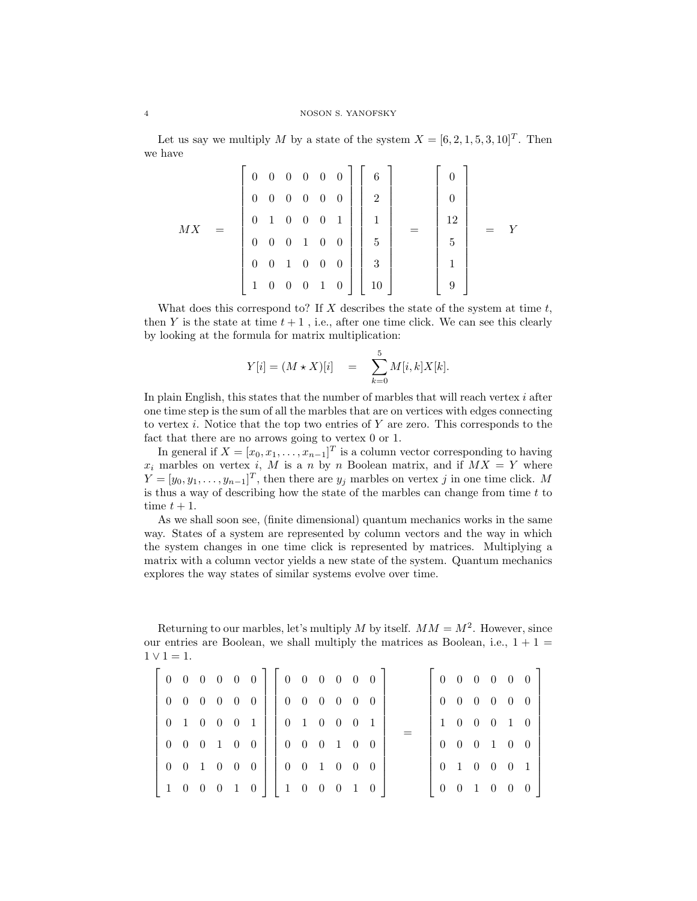Let us say we multiply M by a state of the system  $X = [6, 2, 1, 5, 3, 10]^T$ . Then we have

$$
MX = \begin{bmatrix} 0 & 0 & 0 & 0 & 0 & 0 \\ 0 & 0 & 0 & 0 & 0 & 0 \\ 0 & 1 & 0 & 0 & 0 & 1 \\ 0 & 0 & 0 & 1 & 0 & 0 \\ 0 & 0 & 1 & 0 & 0 & 0 \\ 1 & 0 & 0 & 0 & 1 & 0 \end{bmatrix} \begin{bmatrix} 6 \\ 2 \\ 1 \\ 5 \\ 3 \\ 10 \end{bmatrix} = \begin{bmatrix} 0 \\ 0 \\ 12 \\ 5 \\ 1 \\ 9 \end{bmatrix} = Y
$$

What does this correspond to? If  $X$  describes the state of the system at time  $t$ , then Y is the state at time  $t + 1$ , i.e., after one time click. We can see this clearly by looking at the formula for matrix multiplication:

$$
Y[i] = (M \star X)[i] \quad = \quad \sum_{k=0}^{5} M[i, k] X[k].
$$

In plain English, this states that the number of marbles that will reach vertex  $i$  after one time step is the sum of all the marbles that are on vertices with edges connecting to vertex  $i$ . Notice that the top two entries of  $Y$  are zero. This corresponds to the fact that there are no arrows going to vertex 0 or 1.

In general if  $X = [x_0, x_1, \ldots, x_{n-1}]^T$  is a column vector corresponding to having  $x_i$  marbles on vertex i, M is a n by n Boolean matrix, and if  $MX = Y$  where  $Y = [y_0, y_1, \dots, y_{n-1}]^T$ , then there are  $y_j$  marbles on vertex j in one time click. M is thus a way of describing how the state of the marbles can change from time  $t$  to time  $t + 1$ .

As we shall soon see, (finite dimensional) quantum mechanics works in the same way. States of a system are represented by column vectors and the way in which the system changes in one time click is represented by matrices. Multiplying a matrix with a column vector yields a new state of the system. Quantum mechanics explores the way states of similar systems evolve over time.

Returning to our marbles, let's multiply M by itself.  $MM = M^2$ . However, since our entries are Boolean, we shall multiply the matrices as Boolean, i.e.,  $1 + 1 =$  $1 \vee 1 = 1.$ 

|  |  |  |  | $\begin{bmatrix} 0 & 0 & 0 & 0 & 0 & 0 \end{bmatrix}$ $\begin{bmatrix} 0 & 0 & 0 & 0 & 0 & 0 \end{bmatrix}$                                                                                                                                                                                                              |  |  |  |             |  |  | $\begin{bmatrix} 0 & 0 & 0 & 0 & 0 & 0 \end{bmatrix}$          |
|--|--|--|--|--------------------------------------------------------------------------------------------------------------------------------------------------------------------------------------------------------------------------------------------------------------------------------------------------------------------------|--|--|--|-------------|--|--|----------------------------------------------------------------|
|  |  |  |  | $0$ 0 0 0 0 0 $\begin{vmatrix} 0 & 0 & 0 & 0 \\ 0 & 0 & 0 & 0 \\ 0 & 0 & 0 & 0 \\ 0 & 0 & 0 & 0 \\ 0 & 0 & 0 & 0 \\ 0 & 0 & 0 & 0 \\ 0 & 0 & 0 & 0 \\ 0 & 0 & 0 & 0 \\ 0 & 0 & 0 & 0 \\ 0 & 0 & 0 & 0 \\ 0 & 0 & 0 & 0 \\ 0 & 0 & 0 & 0 & 0 \\ 0 & 0 & 0 & 0 & 0 \\ 0 & 0 & 0 & 0 & 0 \\ 0 & 0 & 0 & 0 & 0 \\ 0 & 0 & 0$ |  |  |  | 0 0 0 0 0 0 |  |  |                                                                |
|  |  |  |  | $0$ 1 0 0 0 1     0 1 0 0 0 1                                                                                                                                                                                                                                                                                            |  |  |  |             |  |  | 1 0 0 0 1 0                                                    |
|  |  |  |  | $0 \t0 \t0 \t1 \t0 \t0 \t0 \t0 \t0 \t0 \t1 \t0 \t0$                                                                                                                                                                                                                                                                      |  |  |  |             |  |  | $\begin{array}{ccccccccc}\n0 & 0 & 0 & 1 & 0 & 0\n\end{array}$ |
|  |  |  |  | $0 \t0 \t1 \t0 \t0 \t0 \t1 \t0 \t0 \t1 \t0 \t0 \t0$                                                                                                                                                                                                                                                                      |  |  |  |             |  |  | $0 \t1 \t0 \t0 \t0 \t1$                                        |
|  |  |  |  | $1 0 0 1 0$ $1 \t 0 1 0 0 0 1 0$                                                                                                                                                                                                                                                                                         |  |  |  |             |  |  | $0\quad 0\quad 1\quad 0\quad 0\quad 0$                         |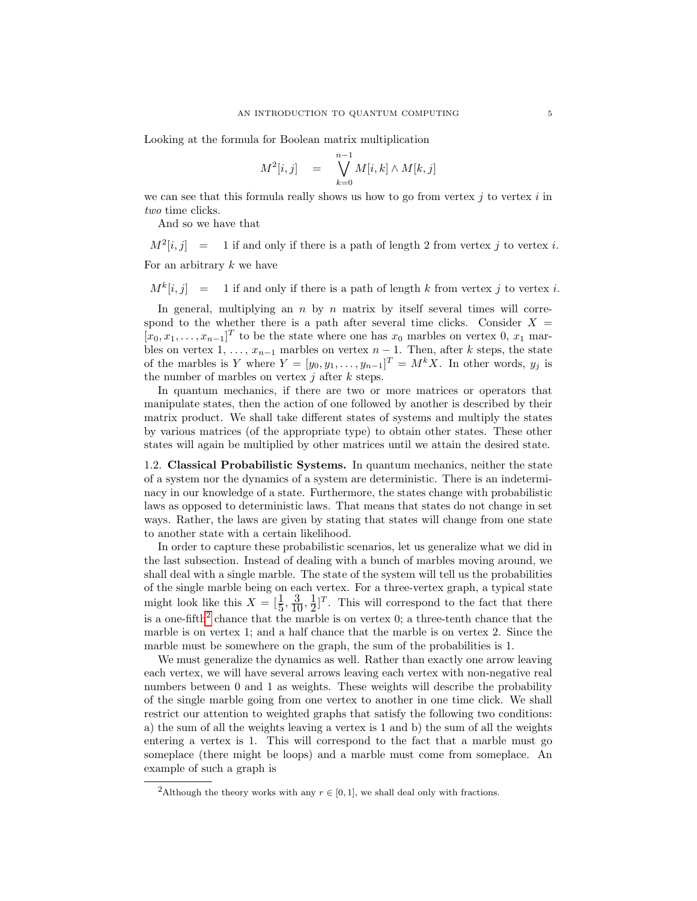Looking at the formula for Boolean matrix multiplication

$$
M^{2}[i,j] = \bigvee_{k=0}^{n-1} M[i,k] \wedge M[k,j]
$$

we can see that this formula really shows us how to go from vertex  $i$  to vertex i in two time clicks.

And so we have that

 $M^2[i, j] = 1$  if and only if there is a path of length 2 from vertex j to vertex i. For an arbitrary  $k$  we have

 $M^k[i,j] =$ 1 if and only if there is a path of length  $k$  from vertex  $j$  to vertex  $i$ .

In general, multiplying an  $n \times n$  matrix by itself several times will correspond to the whether there is a path after several time clicks. Consider  $X =$  $[x_0, x_1, \ldots, x_{n-1}]^T$  to be the state where one has  $x_0$  marbles on vertex 0,  $x_1$  marbles on vertex 1, ...,  $x_{n-1}$  marbles on vertex  $n-1$ . Then, after k steps, the state of the marbles is Y where  $Y = [y_0, y_1, \dots, y_{n-1}]^T = M^k X$ . In other words,  $y_j$  is the number of marbles on vertex  $j$  after  $k$  steps.

In quantum mechanics, if there are two or more matrices or operators that manipulate states, then the action of one followed by another is described by their matrix product. We shall take different states of systems and multiply the states by various matrices (of the appropriate type) to obtain other states. These other states will again be multiplied by other matrices until we attain the desired state.

<span id="page-4-0"></span>1.2. Classical Probabilistic Systems. In quantum mechanics, neither the state of a system nor the dynamics of a system are deterministic. There is an indeterminacy in our knowledge of a state. Furthermore, the states change with probabilistic laws as opposed to deterministic laws. That means that states do not change in set ways. Rather, the laws are given by stating that states will change from one state to another state with a certain likelihood.

In order to capture these probabilistic scenarios, let us generalize what we did in the last subsection. Instead of dealing with a bunch of marbles moving around, we shall deal with a single marble. The state of the system will tell us the probabilities of the single marble being on each vertex. For a three-vertex graph, a typical state might look like this  $X = \begin{bmatrix} \frac{1}{5}, \frac{3}{10}, \frac{1}{2} \end{bmatrix}$  $\frac{1}{2}$ ]<sup>T</sup>. This will correspond to the fact that there is a one-fifth<sup>[2](#page-4-1)</sup> chance that the marble is on vertex 0; a three-tenth chance that the marble is on vertex 1; and a half chance that the marble is on vertex 2. Since the marble must be somewhere on the graph, the sum of the probabilities is 1.

We must generalize the dynamics as well. Rather than exactly one arrow leaving each vertex, we will have several arrows leaving each vertex with non-negative real numbers between 0 and 1 as weights. These weights will describe the probability of the single marble going from one vertex to another in one time click. We shall restrict our attention to weighted graphs that satisfy the following two conditions: a) the sum of all the weights leaving a vertex is 1 and b) the sum of all the weights entering a vertex is 1. This will correspond to the fact that a marble must go someplace (there might be loops) and a marble must come from someplace. An example of such a graph is

<span id="page-4-1"></span><sup>&</sup>lt;sup>2</sup>Although the theory works with any  $r \in [0, 1]$ , we shall deal only with fractions.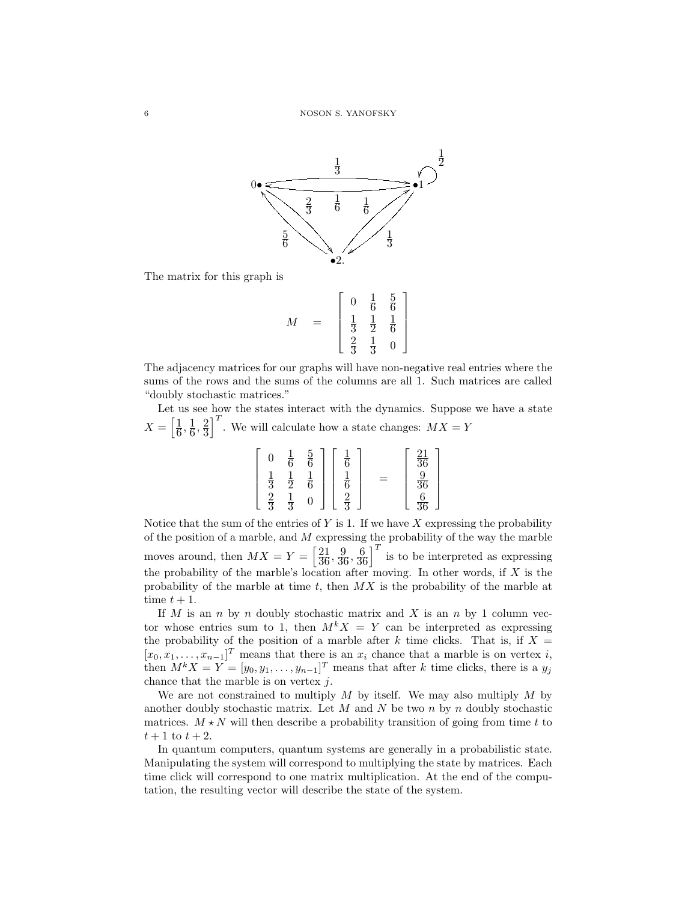

The matrix for this graph is

$$
M = \begin{bmatrix} 0 & \frac{1}{6} & \frac{5}{6} \\ \frac{1}{3} & \frac{1}{2} & \frac{1}{6} \\ \frac{2}{3} & \frac{1}{3} & 0 \end{bmatrix}
$$

The adjacency matrices for our graphs will have non-negative real entries where the sums of the rows and the sums of the columns are all 1. Such matrices are called "doubly stochastic matrices."

Let us see how the states interact with the dynamics. Suppose we have a state  $X=\begin{bmatrix} \frac{1}{6} \end{bmatrix}$  $\frac{1}{6}, \frac{1}{6}$  $\frac{1}{6}, \frac{2}{3}$ 3  $\left[\right]^{T}$ . We will calculate how a state changes:  $MX = Y$ 

|               | តិ        | $\frac{5}{6}$ | $\bar{6}$     | $\frac{21}{36}$ |
|---------------|-----------|---------------|---------------|-----------------|
| $\bar{3}$     | $\bar{2}$ | $\frac{1}{6}$ | $\bar{6}$     | $\frac{9}{36}$  |
| $\frac{2}{3}$ | $\bar{3}$ |               | $\frac{2}{9}$ | $\frac{6}{36}$  |

Notice that the sum of the entries of  $Y$  is 1. If we have  $X$  expressing the probability of the position of a marble, and  $M$  expressing the probability of the way the marble moves around, then  $MX = Y = \left[\frac{21}{36}, \frac{9}{36}, \frac{6}{36}\right]^T$  is to be interpreted as expressing the probability of the marble's location after moving. In other words, if  $X$  is the probability of the marble at time t, then  $MX$  is the probability of the marble at time  $t + 1$ .

If M is an n by n doubly stochastic matrix and X is an n by 1 column vector whose entries sum to 1, then  $M^k X = Y$  can be interpreted as expressing the probability of the position of a marble after  $k$  time clicks. That is, if  $X =$  $[x_0, x_1, \ldots, x_{n-1}]^T$  means that there is an  $x_i$  chance that a marble is on vertex i, then  $M^k X = Y = [y_0, y_1, \dots, y_{n-1}]^T$  means that after k time clicks, there is a  $y_j$ chance that the marble is on vertex  $j$ .

We are not constrained to multiply  $M$  by itself. We may also multiply  $M$  by another doubly stochastic matrix. Let  $M$  and  $N$  be two  $n$  by  $n$  doubly stochastic matrices.  $M \star N$  will then describe a probability transition of going from time t to  $t + 1$  to  $t + 2$ .

In quantum computers, quantum systems are generally in a probabilistic state. Manipulating the system will correspond to multiplying the state by matrices. Each time click will correspond to one matrix multiplication. At the end of the computation, the resulting vector will describe the state of the system.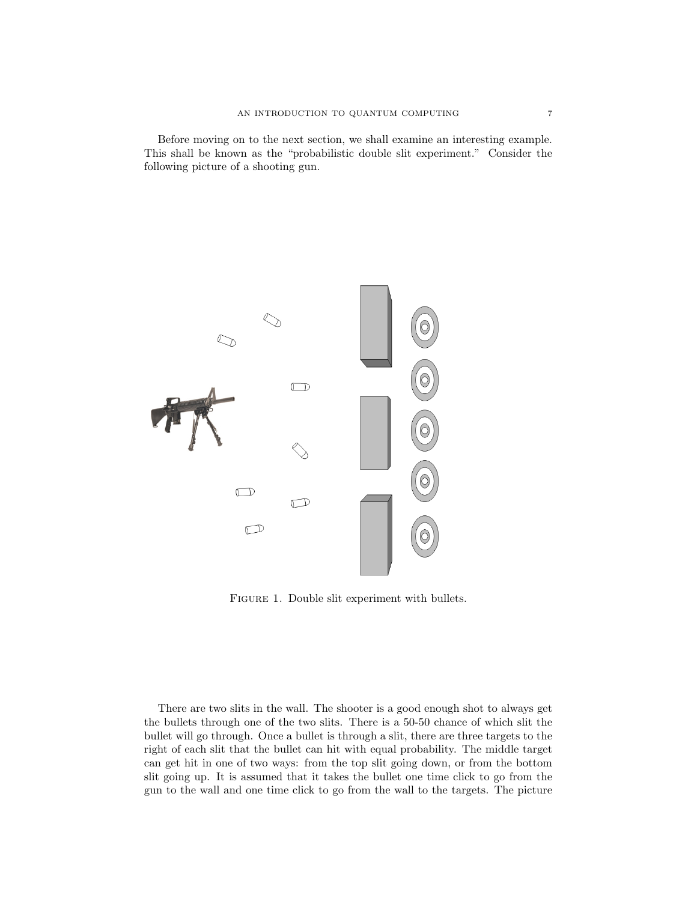Before moving on to the next section, we shall examine an interesting example. This shall be known as the "probabilistic double slit experiment." Consider the following picture of a shooting gun.



FIGURE 1. Double slit experiment with bullets.

There are two slits in the wall. The shooter is a good enough shot to always get the bullets through one of the two slits. There is a 50-50 chance of which slit the bullet will go through. Once a bullet is through a slit, there are three targets to the right of each slit that the bullet can hit with equal probability. The middle target can get hit in one of two ways: from the top slit going down, or from the bottom slit going up. It is assumed that it takes the bullet one time click to go from the gun to the wall and one time click to go from the wall to the targets. The picture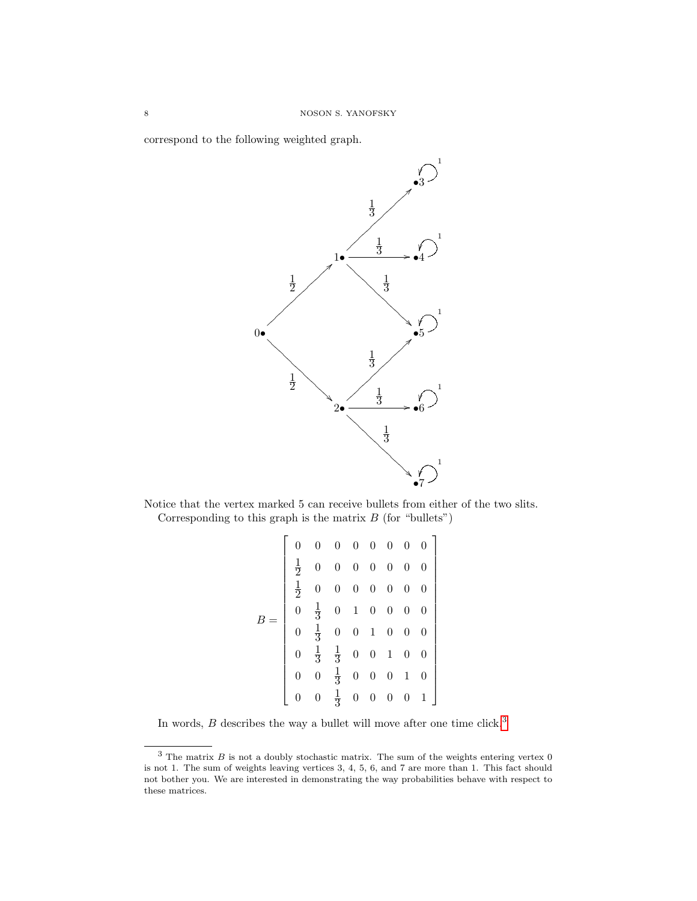correspond to the following weighted graph.



Notice that the vertex marked 5 can receive bullets from either of the two slits. Corresponding to this graph is the matrix  $B$  (for "bullets")

|  |                  |                                                                                                              |                                   |                                             |                  |                  |                  | $0 \t 0 \t 0 \t 0 \t 0 \t 0 \t 0$ |  |
|--|------------------|--------------------------------------------------------------------------------------------------------------|-----------------------------------|---------------------------------------------|------------------|------------------|------------------|-----------------------------------|--|
|  | $\frac{1}{2}$    | $\overline{0}$                                                                                               |                                   | $\begin{matrix} 0 & 0 & 0 & 0 \end{matrix}$ |                  |                  | $\overline{0}$   | $\boldsymbol{0}$                  |  |
|  | $\frac{1}{2}$    | $\overline{0}$                                                                                               | $\overline{0}$                    |                                             | $0 \quad 0$      | $\boldsymbol{0}$ | $\boldsymbol{0}$ | $\boldsymbol{0}$                  |  |
|  |                  |                                                                                                              |                                   |                                             |                  |                  | $\overline{0}$   | $\boldsymbol{0}$                  |  |
|  |                  | $\begin{array}{ccccccccc} 0 & \frac{1}{3} & 0 & 1 & 0 & 0 \\ 0 & \frac{1}{3} & 0 & 0 & 1 & 0 \\ \end{array}$ |                                   |                                             |                  |                  | $\boldsymbol{0}$ | $\boldsymbol{0}$                  |  |
|  | $\overline{0}$   |                                                                                                              | $\frac{1}{3}$ $\frac{1}{3}$ 0 0 1 |                                             |                  |                  | $\overline{0}$   | $\boldsymbol{0}$                  |  |
|  | $\boldsymbol{0}$ | $\overline{0}$                                                                                               |                                   | $\frac{1}{3}$ 0                             | $\overline{0}$   | $\overline{0}$   | $1 -$            | $\boldsymbol{0}$                  |  |
|  |                  | $\overline{0}$                                                                                               | $\frac{1}{3}$                     | $\overline{0}$                              | $\boldsymbol{0}$ | $\boldsymbol{0}$ | $\boldsymbol{0}$ | $\mathbf{1}$                      |  |

In words,  $B$  describes the way a bullet will move after one time click.<sup>[3](#page-7-0)</sup>

<span id="page-7-0"></span> $^3$  The matrix  $\boldsymbol{B}$  is not a doubly stochastic matrix. The sum of the weights entering vertex  $0$ is not 1. The sum of weights leaving vertices 3, 4, 5, 6, and 7 are more than 1. This fact should not bother you. We are interested in demonstrating the way probabilities behave with respect to these matrices.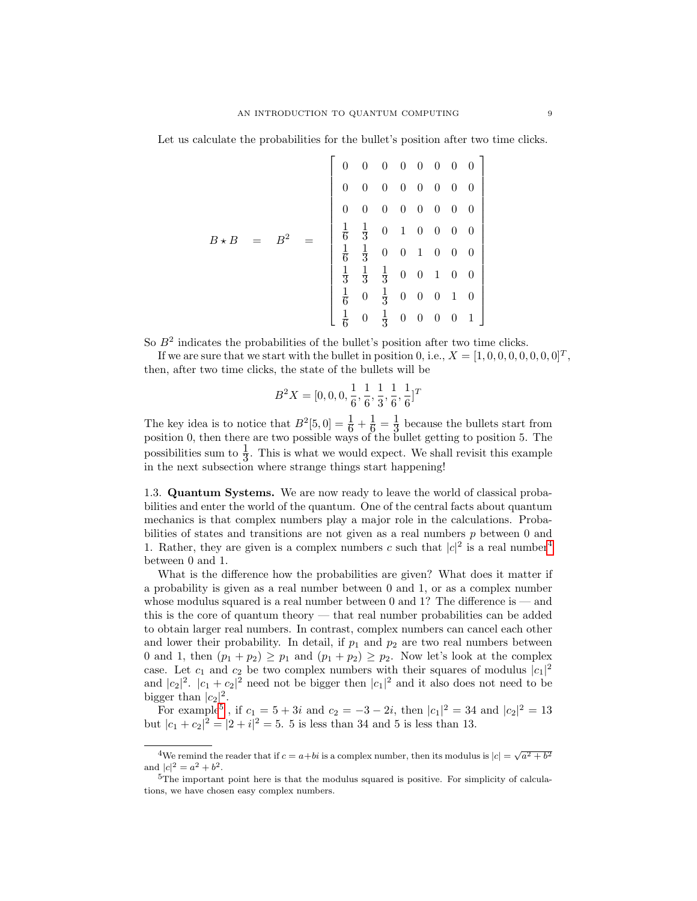Let us calculate the probabilities for the bullet's position after two time clicks.

$$
B \star B = B^2 = \begin{bmatrix} 0 & 0 & 0 & 0 & 0 & 0 & 0 & 0 \\ 0 & 0 & 0 & 0 & 0 & 0 & 0 & 0 \\ 0 & 0 & 0 & 0 & 0 & 0 & 0 & 0 \\ \frac{1}{6} & \frac{1}{3} & 0 & 1 & 0 & 0 & 0 & 0 \\ \frac{1}{6} & \frac{1}{3} & 0 & 0 & 1 & 0 & 0 & 0 \\ \frac{1}{6} & 0 & \frac{1}{3} & 0 & 0 & 1 & 0 & 0 \\ \frac{1}{6} & 0 & \frac{1}{3} & 0 & 0 & 0 & 1 & 0 \\ \frac{1}{6} & 0 & \frac{1}{3} & 0 & 0 & 0 & 0 & 1 \end{bmatrix}
$$

So  $B<sup>2</sup>$  indicates the probabilities of the bullet's position after two time clicks.

If we are sure that we start with the bullet in position 0, i.e.,  $X = [1, 0, 0, 0, 0, 0, 0, 0]^T$ , then, after two time clicks, the state of the bullets will be

$$
B^{2}X = [0, 0, 0, \frac{1}{6}, \frac{1}{6}, \frac{1}{3}, \frac{1}{6}, \frac{1}{6}]^{T}
$$

The key idea is to notice that  $B^2[5,0] = \frac{1}{6} + \frac{1}{6}$  $\frac{1}{6} = \frac{1}{3}$  $\frac{1}{3}$  because the bullets start from position 0, then there are two possible ways of the bullet getting to position 5. The possibilities sum to  $\frac{1}{3}$ . This is what we would expect. We shall revisit this example in the next subsection where strange things start happening!

<span id="page-8-0"></span>1.3. Quantum Systems. We are now ready to leave the world of classical probabilities and enter the world of the quantum. One of the central facts about quantum mechanics is that complex numbers play a major role in the calculations. Probabilities of states and transitions are not given as a real numbers p between 0 and 1. Rather, they are given is a complex numbers c such that  $|c|^2$  is a real number<sup>[4](#page-8-1)</sup> between 0 and 1.

What is the difference how the probabilities are given? What does it matter if a probability is given as a real number between 0 and 1, or as a complex number whose modulus squared is a real number between 0 and 1? The difference is — and this is the core of quantum theory — that real number probabilities can be added to obtain larger real numbers. In contrast, complex numbers can cancel each other and lower their probability. In detail, if  $p_1$  and  $p_2$  are two real numbers between 0 and 1, then  $(p_1 + p_2) \geq p_1$  and  $(p_1 + p_2) \geq p_2$ . Now let's look at the complex case. Let  $c_1$  and  $c_2$  be two complex numbers with their squares of modulus  $|c_1|^2$ and  $|c_2|^2$ .  $|c_1 + c_2|^2$  need not be bigger then  $|c_1|^2$  and it also does not need to be bigger than  $|c_2|^2$ .

For example<sup>[5](#page-8-2)</sup>, if  $c_1 = 5 + 3i$  and  $c_2 = -3 - 2i$ , then  $|c_1|^2 = 34$  and  $|c_2|^2 = 13$ but  $|c_1 + c_2|^2 = |2 + i|^2 = 5$ . 5 is less than 34 and 5 is less than 13.

<span id="page-8-1"></span>We remind the reader that if  $c = a + bi$  is a complex number, then its modulus is  $|c| = \sqrt{a^2 + b^2}$ and  $|c|^2 = a^2 + b^2$ .

<span id="page-8-2"></span> $5$ The important point here is that the modulus squared is positive. For simplicity of calculations, we have chosen easy complex numbers.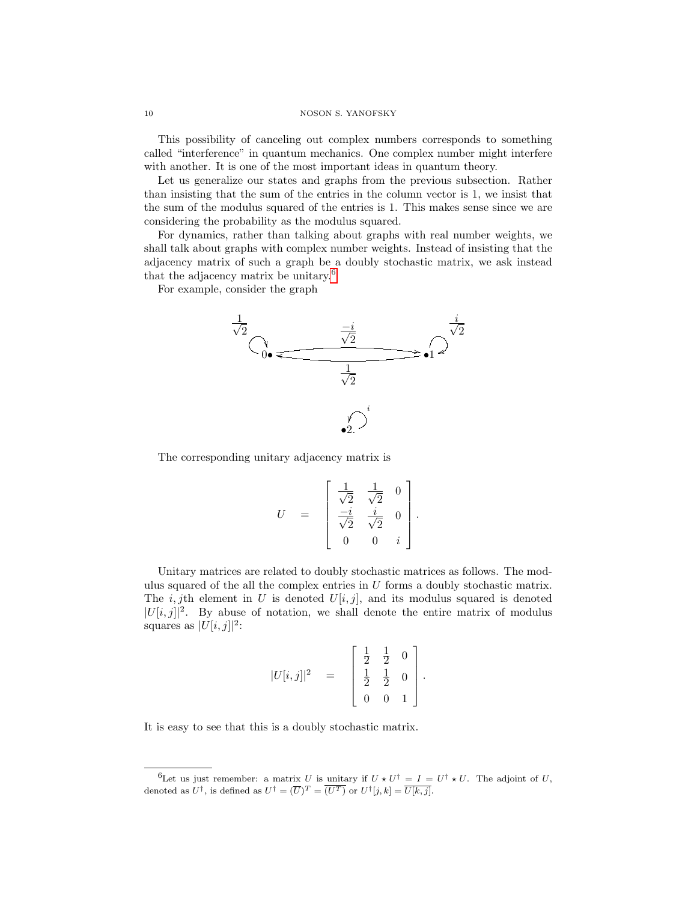This possibility of canceling out complex numbers corresponds to something called "interference" in quantum mechanics. One complex number might interfere with another. It is one of the most important ideas in quantum theory.

Let us generalize our states and graphs from the previous subsection. Rather than insisting that the sum of the entries in the column vector is 1, we insist that the sum of the modulus squared of the entries is 1. This makes sense since we are considering the probability as the modulus squared.

For dynamics, rather than talking about graphs with real number weights, we shall talk about graphs with complex number weights. Instead of insisting that the adjacency matrix of such a graph be a doubly stochastic matrix, we ask instead that the adjacency matrix be unitary.[6](#page-9-0)

For example, consider the graph



The corresponding unitary adjacency matrix is

$$
U = \begin{bmatrix} \frac{1}{\sqrt{2}} & \frac{1}{\sqrt{2}} & 0 \\ \frac{-i}{\sqrt{2}} & \frac{i}{\sqrt{2}} & 0 \\ 0 & 0 & i \end{bmatrix}.
$$

Unitary matrices are related to doubly stochastic matrices as follows. The modulus squared of the all the complex entries in  $U$  forms a doubly stochastic matrix. The *i*, *j*th element in U is denoted  $U[i, j]$ , and its modulus squared is denoted  $|U[i, j]|^2$ . By abuse of notation, we shall denote the entire matrix of modulus squares as  $|U[i,j]|^2$ :

$$
|U[i,j]|^2 = \begin{bmatrix} \frac{1}{2} & \frac{1}{2} & 0 \\ \frac{1}{2} & \frac{1}{2} & 0 \\ 0 & 0 & 1 \end{bmatrix}.
$$

It is easy to see that this is a doubly stochastic matrix.

<span id="page-9-0"></span><sup>&</sup>lt;sup>6</sup>Let us just remember: a matrix U is unitary if  $U \star U^{\dagger} = I = U^{\dagger} \star U$ . The adjoint of U, denoted as  $U^{\dagger}$ , is defined as  $U^{\dagger} = (\overline{U})^T = (\overline{U^T})$  or  $U^{\dagger}[j,k] = \overline{U[k,j]}$ .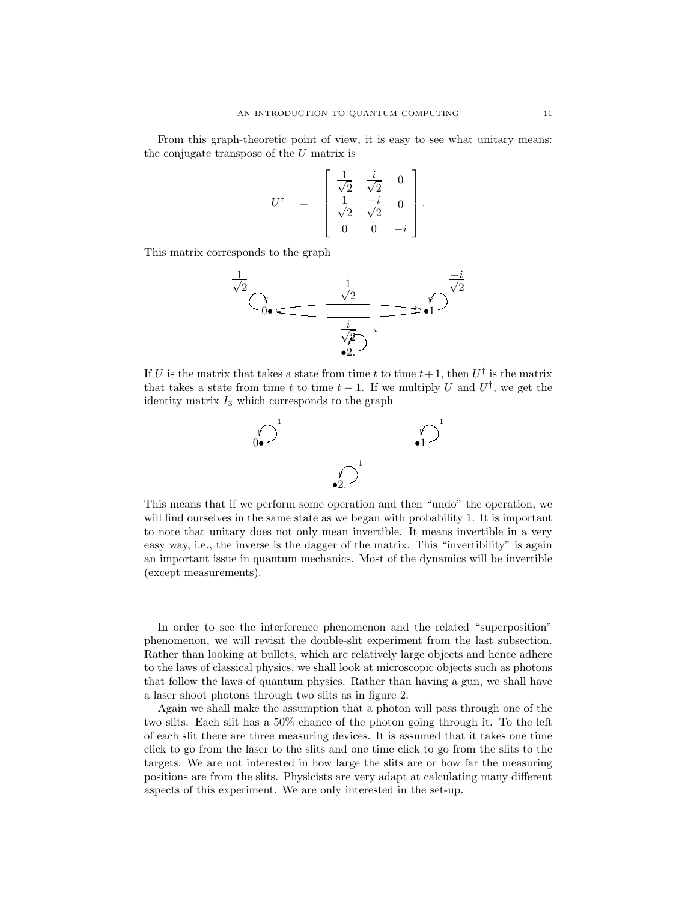From this graph-theoretic point of view, it is easy to see what unitary means: the conjugate transpose of the U matrix is

$$
U^{\dagger} = \begin{bmatrix} \frac{1}{\sqrt{2}} & \frac{i}{\sqrt{2}} & 0 \\ \frac{1}{\sqrt{2}} & \frac{-i}{\sqrt{2}} & 0 \\ 0 & 0 & -i \end{bmatrix}.
$$

This matrix corresponds to the graph



If U is the matrix that takes a state from time t to time  $t+1$ , then  $U^{\dagger}$  is the matrix that takes a state from time t to time  $t-1$ . If we multiply U and  $U^{\dagger}$ , we get the identity matrix  $I_3$  which corresponds to the graph



This means that if we perform some operation and then "undo" the operation, we will find ourselves in the same state as we began with probability 1. It is important to note that unitary does not only mean invertible. It means invertible in a very easy way, i.e., the inverse is the dagger of the matrix. This "invertibility" is again an important issue in quantum mechanics. Most of the dynamics will be invertible (except measurements).

In order to see the interference phenomenon and the related "superposition" phenomenon, we will revisit the double-slit experiment from the last subsection. Rather than looking at bullets, which are relatively large objects and hence adhere to the laws of classical physics, we shall look at microscopic objects such as photons that follow the laws of quantum physics. Rather than having a gun, we shall have a laser shoot photons through two slits as in figure 2.

Again we shall make the assumption that a photon will pass through one of the two slits. Each slit has a 50% chance of the photon going through it. To the left of each slit there are three measuring devices. It is assumed that it takes one time click to go from the laser to the slits and one time click to go from the slits to the targets. We are not interested in how large the slits are or how far the measuring positions are from the slits. Physicists are very adapt at calculating many different aspects of this experiment. We are only interested in the set-up.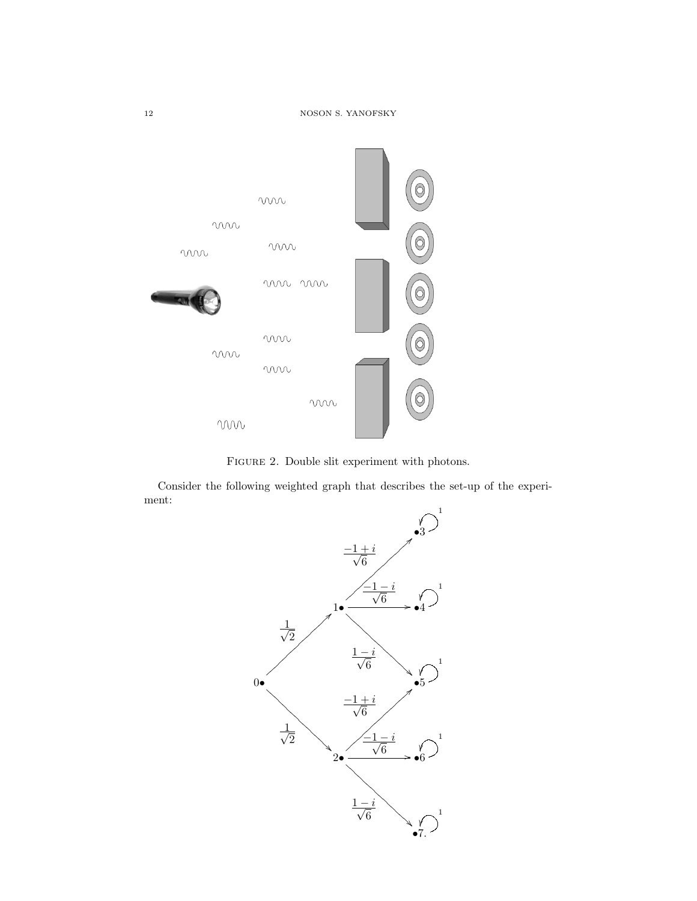

FIGURE 2. Double slit experiment with photons.

Consider the following weighted graph that describes the set-up of the experiment:

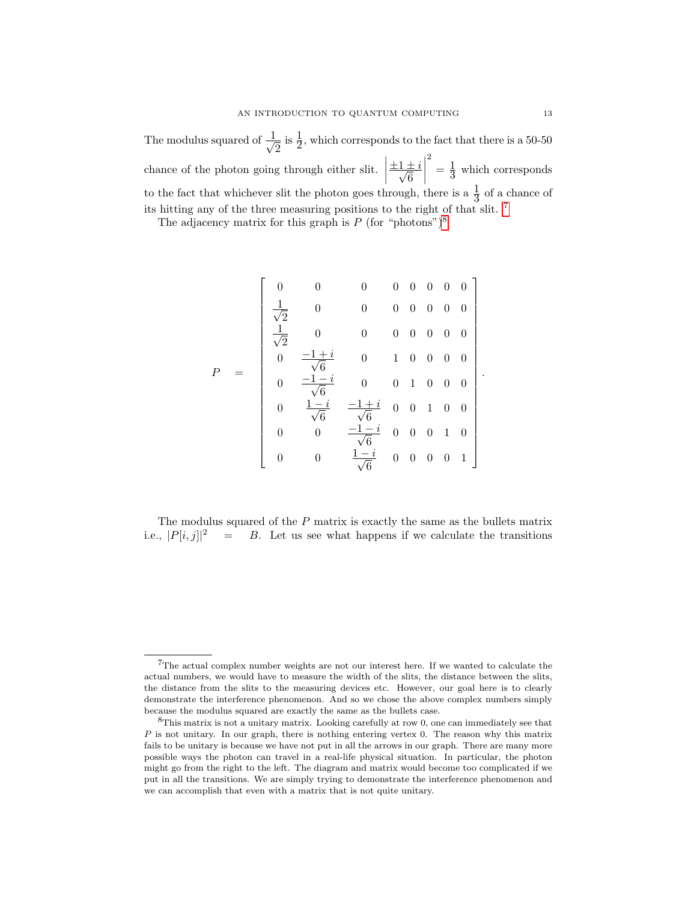The modulus squared of  $\frac{1}{\sqrt{2}}$  $\frac{1}{2}$  is  $\frac{1}{2}$ , which corresponds to the fact that there is a 50-50 chance of the photon going through either slit.  $\Bigg|$  $\pm 1 \pm i$ 6 2  $=\frac{1}{3}$  $\frac{1}{3}$  which corresponds to the fact that whichever slit the photon goes through, there is a  $\frac{1}{3}$  of a chance of its hitting any of the three measuring positions to the right of that slit. [7](#page-12-0)

The adjacency matrix for this graph is P (for "photons")<sup>[8](#page-12-1)</sup>

$$
P = \begin{bmatrix} 0 & 0 & 0 & 0 & 0 & 0 & 0 & 0 \\ \frac{1}{\sqrt{2}} & 0 & 0 & 0 & 0 & 0 & 0 & 0 \\ \frac{1}{\sqrt{2}} & 0 & 0 & 0 & 0 & 0 & 0 & 0 \\ 0 & \frac{-1+i}{\sqrt{6}} & 0 & 1 & 0 & 0 & 0 & 0 \\ 0 & \frac{-1-i}{\sqrt{6}} & 0 & 0 & 1 & 0 & 0 & 0 \\ 0 & \frac{1-i}{\sqrt{6}} & \frac{-1+i}{\sqrt{6}} & 0 & 0 & 1 & 0 & 0 \\ 0 & 0 & \frac{-1-i}{\sqrt{6}} & 0 & 0 & 0 & 1 & 0 \\ 0 & 0 & \frac{1-i}{\sqrt{6}} & 0 & 0 & 0 & 0 & 1 \end{bmatrix}.
$$

The modulus squared of the  $P$  matrix is exactly the same as the bullets matrix i.e.,  $|P[i, j]|^2$  $=$  B. Let us see what happens if we calculate the transitions

<span id="page-12-0"></span> $7$ The actual complex number weights are not our interest here. If we wanted to calculate the actual numbers, we would have to measure the width of the slits, the distance between the slits, the distance from the slits to the measuring devices etc. However, our goal here is to clearly demonstrate the interference phenomenon. And so we chose the above complex numbers simply because the modulus squared are exactly the same as the bullets case.

<span id="page-12-1"></span> ${}^{8}$ This matrix is not a unitary matrix. Looking carefully at row 0, one can immediately see that P is not unitary. In our graph, there is nothing entering vertex 0. The reason why this matrix fails to be unitary is because we have not put in all the arrows in our graph. There are many more possible ways the photon can travel in a real-life physical situation. In particular, the photon might go from the right to the left. The diagram and matrix would become too complicated if we put in all the transitions. We are simply trying to demonstrate the interference phenomenon and we can accomplish that even with a matrix that is not quite unitary.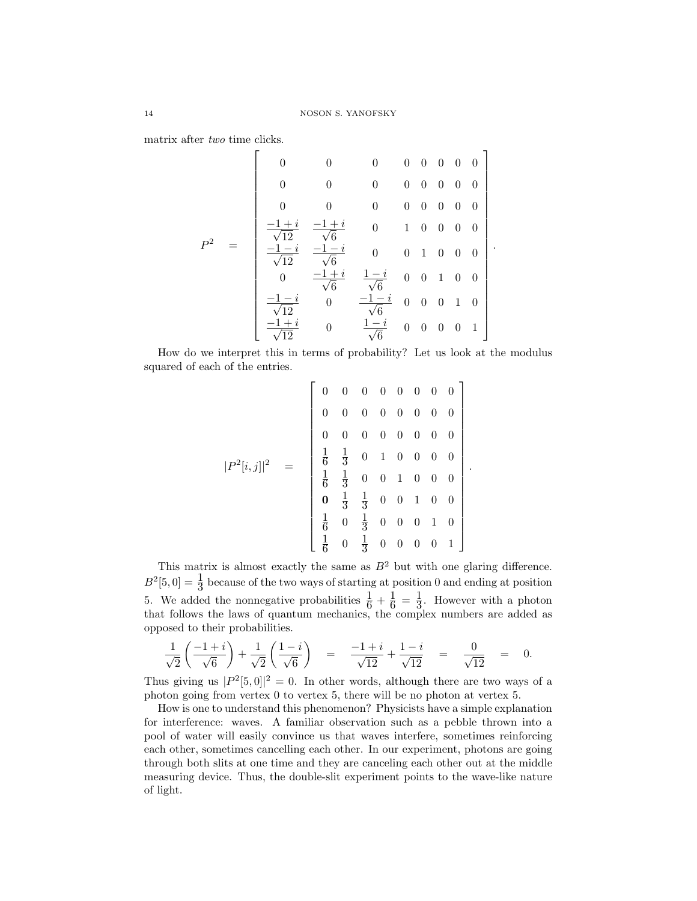h

.

matrix after two time clicks.

 $\mathbf{r}$ 

$$
P^{2} = \begin{bmatrix} 0 & 0 & 0 & 0 & 0 & 0 & 0 & 0 & 0 \\ 0 & 0 & 0 & 0 & 0 & 0 & 0 & 0 & 0 \\ 0 & 0 & 0 & 0 & 0 & 0 & 0 & 0 & 0 \\ \frac{-1+i}{\sqrt{12}} & \frac{-1+i}{\sqrt{6}} & 0 & 1 & 0 & 0 & 0 & 0 \\ \frac{-1-i}{\sqrt{12}} & \frac{-1-i}{\sqrt{6}} & 0 & 0 & 1 & 0 & 0 & 0 \\ 0 & \frac{-1+i}{\sqrt{6}} & \frac{1-i}{\sqrt{6}} & 0 & 0 & 1 & 0 & 0 \\ \frac{-1-i}{\sqrt{12}} & 0 & \frac{-1-i}{\sqrt{6}} & 0 & 0 & 0 & 1 & 0 \\ \frac{-1+i}{\sqrt{12}} & 0 & \frac{1-i}{\sqrt{6}} & 0 & 0 & 0 & 0 & 1 \end{bmatrix}
$$

How do we interpret this in terms of probability? Let us look at the modulus squared of each of the entries.

$$
|P^{2}[i,j]|^{2} = \begin{bmatrix} 0 & 0 & 0 & 0 & 0 & 0 & 0 & 0 \\ 0 & 0 & 0 & 0 & 0 & 0 & 0 & 0 \\ 0 & 0 & 0 & 0 & 0 & 0 & 0 & 0 \\ \frac{1}{6} & \frac{1}{3} & 0 & 1 & 0 & 0 & 0 & 0 \\ \frac{1}{6} & \frac{1}{3} & 0 & 0 & 1 & 0 & 0 & 0 \\ 0 & \frac{1}{3} & \frac{1}{3} & 0 & 0 & 1 & 0 & 0 \\ \frac{1}{6} & 0 & \frac{1}{3} & 0 & 0 & 0 & 1 & 0 \\ \frac{1}{6} & 0 & \frac{1}{3} & 0 & 0 & 0 & 0 & 1 \end{bmatrix}.
$$

This matrix is almost exactly the same as  $B^2$  but with one glaring difference.  $B^2[5,0] = \frac{1}{3}$  because of the two ways of starting at position 0 and ending at position 5. We added the nonnegative probabilities  $\frac{1}{6} + \frac{1}{6}$  $\frac{1}{6} = \frac{1}{3}$  $\frac{1}{3}$ . However with a photon that follows the laws of quantum mechanics, the complex numbers are added as opposed to their probabilities.

$$
\frac{1}{\sqrt{2}} \left( \frac{-1+i}{\sqrt{6}} \right) + \frac{1}{\sqrt{2}} \left( \frac{1-i}{\sqrt{6}} \right) = \frac{-1+i}{\sqrt{12}} + \frac{1-i}{\sqrt{12}} = \frac{0}{\sqrt{12}} = 0.
$$

Thus giving us  $|P^2[5,0]|^2=0$ . In other words, although there are two ways of a photon going from vertex 0 to vertex 5, there will be no photon at vertex 5.

How is one to understand this phenomenon? Physicists have a simple explanation for interference: waves. A familiar observation such as a pebble thrown into a pool of water will easily convince us that waves interfere, sometimes reinforcing each other, sometimes cancelling each other. In our experiment, photons are going through both slits at one time and they are canceling each other out at the middle measuring device. Thus, the double-slit experiment points to the wave-like nature of light.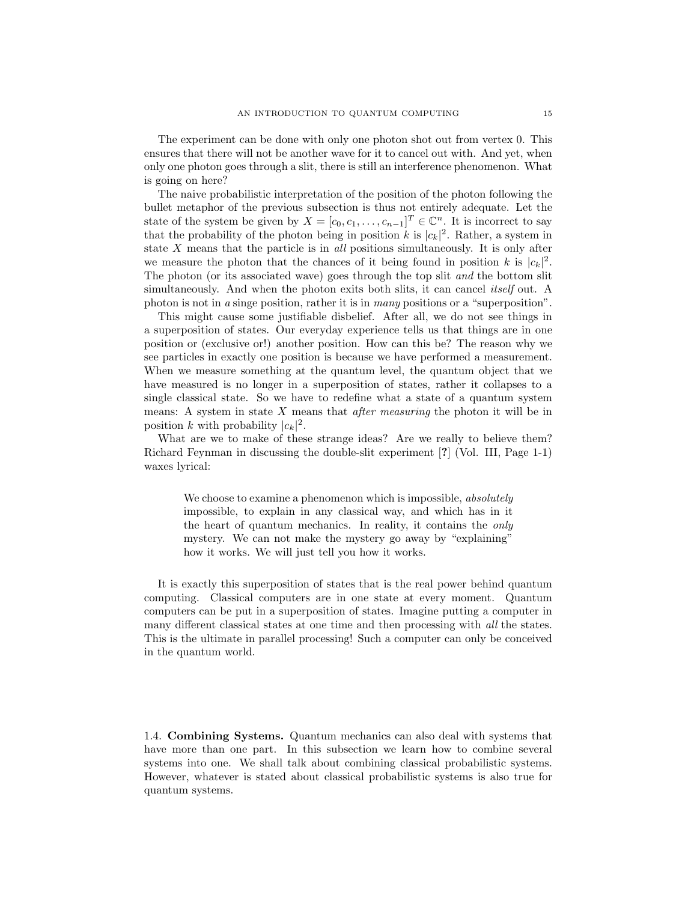The experiment can be done with only one photon shot out from vertex 0. This ensures that there will not be another wave for it to cancel out with. And yet, when only one photon goes through a slit, there is still an interference phenomenon. What is going on here?

The naive probabilistic interpretation of the position of the photon following the bullet metaphor of the previous subsection is thus not entirely adequate. Let the state of the system be given by  $X = [c_0, c_1, \ldots, c_{n-1}]^T \in \mathbb{C}^n$ . It is incorrect to say that the probability of the photon being in position k is  $|c_k|^2$ . Rather, a system in state X means that the particle is in all positions simultaneously. It is only after we measure the photon that the chances of it being found in position k is  $|c_k|^2$ . The photon (or its associated wave) goes through the top slit and the bottom slit simultaneously. And when the photon exits both slits, it can cancel *itself* out. A photon is not in a singe position, rather it is in many positions or a "superposition".

This might cause some justifiable disbelief. After all, we do not see things in a superposition of states. Our everyday experience tells us that things are in one position or (exclusive or!) another position. How can this be? The reason why we see particles in exactly one position is because we have performed a measurement. When we measure something at the quantum level, the quantum object that we have measured is no longer in a superposition of states, rather it collapses to a single classical state. So we have to redefine what a state of a quantum system means: A system in state  $X$  means that *after measuring* the photon it will be in position k with probability  $|c_k|^2$ .

What are we to make of these strange ideas? Are we really to believe them? Richard Feynman in discussing the double-slit experiment [?] (Vol. III, Page 1-1) waxes lyrical:

We choose to examine a phenomenon which is impossible, *absolutely* impossible, to explain in any classical way, and which has in it the heart of quantum mechanics. In reality, it contains the only mystery. We can not make the mystery go away by "explaining" how it works. We will just tell you how it works.

It is exactly this superposition of states that is the real power behind quantum computing. Classical computers are in one state at every moment. Quantum computers can be put in a superposition of states. Imagine putting a computer in many different classical states at one time and then processing with all the states. This is the ultimate in parallel processing! Such a computer can only be conceived in the quantum world.

<span id="page-14-0"></span>1.4. Combining Systems. Quantum mechanics can also deal with systems that have more than one part. In this subsection we learn how to combine several systems into one. We shall talk about combining classical probabilistic systems. However, whatever is stated about classical probabilistic systems is also true for quantum systems.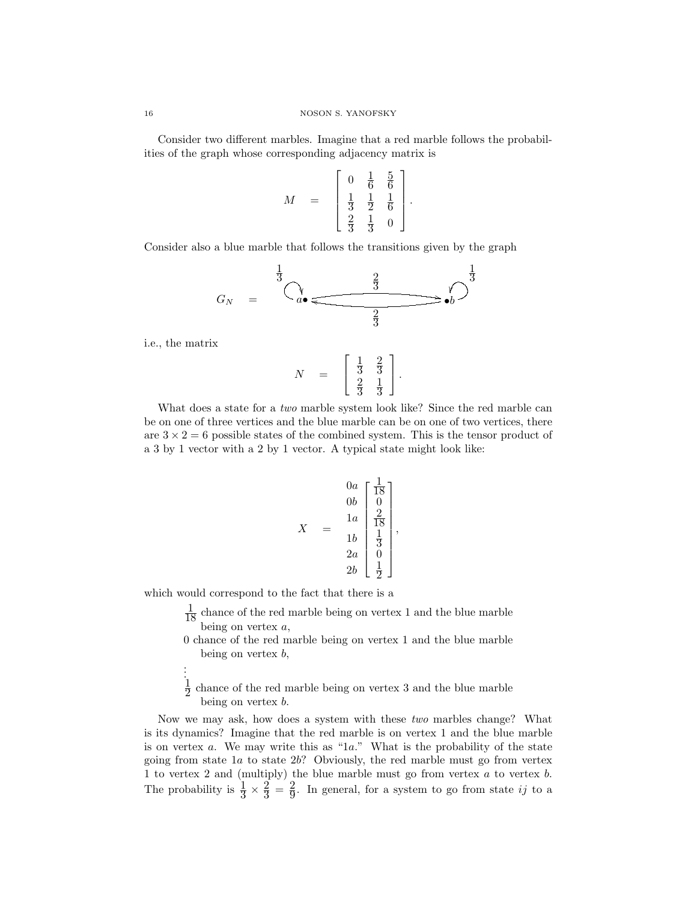Consider two different marbles. Imagine that a red marble follows the probabilities of the graph whose corresponding adjacency matrix is

$$
M = \begin{bmatrix} 0 & \frac{1}{6} & \frac{5}{6} \\ \frac{1}{3} & \frac{1}{2} & \frac{1}{6} \\ \frac{2}{3} & \frac{1}{3} & 0 \end{bmatrix}
$$

.

Consider also a blue marble that follows the transitions given by the graph

$$
G_N = \frac{\frac{1}{3}}{2} \times \frac{\frac{2}{3}}{2}
$$
  
i.e., the matrix  

$$
N = \begin{bmatrix} \frac{1}{3} & \frac{2}{3} \\ \frac{2}{3} & \frac{1}{3} \end{bmatrix}.
$$

What does a state for a *two* marble system look like? Since the red marble can be on one of three vertices and the blue marble can be on one of two vertices, there are  $3 \times 2 = 6$  possible states of the combined system. This is the tensor product of a 3 by 1 vector with a 2 by 1 vector. A typical state might look like:

$$
X = \begin{bmatrix} 0a & 1 \\ 0b & 0 \\ 1a & 2 \\ 1b & 1 \\ 2a & 0 \\ 2b & 1 \end{bmatrix},
$$

which would correspond to the fact that there is a

.

- $\frac{1}{18}$  chance of the red marble being on vertex 1 and the blue marble being on vertex a,
- 0 chance of the red marble being on vertex 1 and the blue marble being on vertex b, .
- . 1  $\frac{1}{2}$  chance of the red marble being on vertex 3 and the blue marble being on vertex b.

Now we may ask, how does a system with these two marbles change? What is its dynamics? Imagine that the red marble is on vertex 1 and the blue marble is on vertex  $a$ . We may write this as "1 $a$ ." What is the probability of the state going from state  $1a$  to state  $2b$ ? Obviously, the red marble must go from vertex 1 to vertex 2 and (multiply) the blue marble must go from vertex  $a$  to vertex  $b$ . The probability is  $\frac{1}{3} \times \frac{2}{3}$  $\frac{2}{3} = \frac{2}{9}$  $\frac{2}{9}$ . In general, for a system to go from state ij to a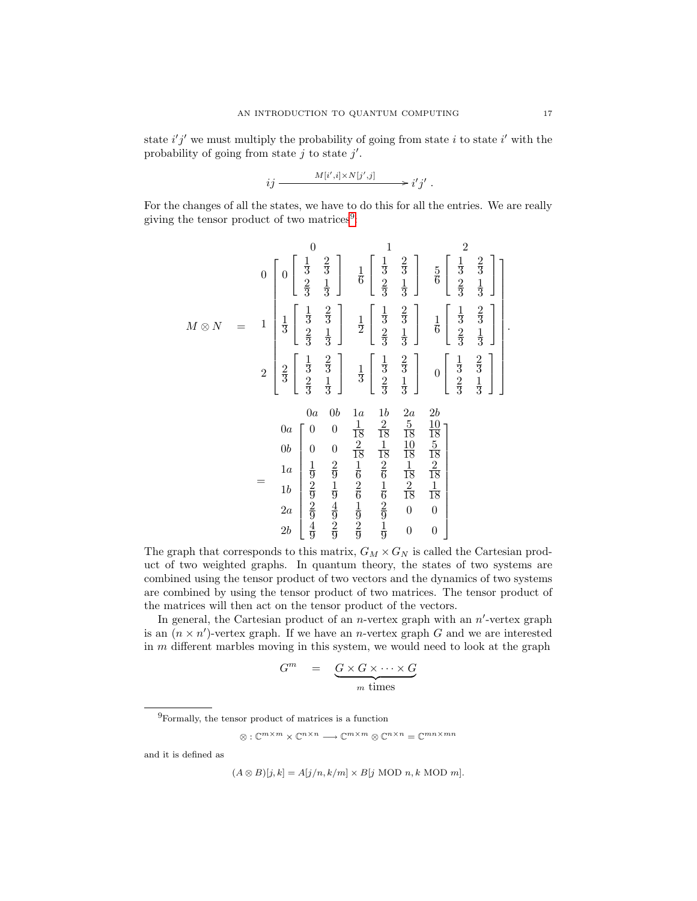state  $i'j'$  we must multiply the probability of going from state i to state i' with the probability of going from state  $j$  to state  $j'$ .

$$
ij \xrightarrow{M[i',i] \times N[j',j]} i'j' .
$$

For the changes of all the states, we have to do this for all the entries. We are really giving the tensor product of two matrices<sup>[9](#page-16-0)</sup>:

$$
M \otimes N = 1 \begin{bmatrix} 0 & 1 & 2 \\ 0 & \frac{1}{3} & \frac{2}{3} \\ \frac{2}{3} & \frac{1}{3} \end{bmatrix} \begin{bmatrix} 1 & \frac{2}{3} & \frac{2}{3} \\ \frac{2}{3} & \frac{1}{3} \end{bmatrix} \begin{bmatrix} 1 & \frac{2}{3} & \frac{2}{3} \\ \frac{2}{3} & \frac{1}{3} & \frac{2}{3} \end{bmatrix}
$$
  
\n
$$
M \otimes N = 1 \begin{bmatrix} \frac{1}{3} & \frac{2}{3} \\ \frac{1}{3} & \frac{2}{3} \\ \frac{2}{3} & \frac{1}{3} \end{bmatrix} \begin{bmatrix} \frac{1}{3} & \frac{2}{3} \\ \frac{2}{3} & \frac{1}{3} \\ \frac{2}{3} & \frac{1}{3} \end{bmatrix} \begin{bmatrix} \frac{1}{3} & \frac{2}{3} \\ \frac{2}{3} & \frac{1}{3} \\ \frac{2}{3} & \frac{1}{3} \end{bmatrix} \begin{bmatrix} \frac{1}{3} & \frac{2}{3} \\ \frac{2}{3} & \frac{1}{3} \\ \frac{2}{3} & \frac{1}{3} \end{bmatrix} \begin{bmatrix} \frac{1}{3} & \frac{2}{3} \\ \frac{2}{3} & \frac{1}{3} \\ \frac{2}{3} & \frac{1}{3} \end{bmatrix}.
$$
  
\n
$$
= \begin{bmatrix} 0a & 0b & 1a & 1b & 2a & 2b \\ 0a & 0 & 0 & \frac{2}{18} & \frac{1}{18} & \frac{18}{18} \\ 0b & 0 & \frac{2}{18} & \frac{1}{18} & \frac{18}{18} \\ 0b & 0 & \frac{2}{18} & \frac{1}{18} & \frac{2}{18} \\ \frac{2}{9} & \frac{1}{9} & \frac{2}{6} & \frac{1}{6} & \frac{2}{18} & \frac{1}{18} \\ \frac{2}{9} & \frac{1}{9} & \frac{2}{9} & \frac{1}{9} & \frac{2}{9} & 0 \\ \frac{2}{9} & \frac{2}{9} & \frac{1}{9} & \frac{2}{9} & 0 \end{bmatrix
$$

The graph that corresponds to this matrix,  $G_M \times G_N$  is called the Cartesian product of two weighted graphs. In quantum theory, the states of two systems are combined using the tensor product of two vectors and the dynamics of two systems are combined by using the tensor product of two matrices. The tensor product of the matrices will then act on the tensor product of the vectors.

In general, the Cartesian product of an *n*-vertex graph with an  $n'$ -vertex graph is an  $(n \times n')$ -vertex graph. If we have an *n*-vertex graph G and we are interested in  $m$  different marbles moving in this system, we would need to look at the graph

$$
G^m = \underbrace{G \times G \times \cdots \times G}_{m \text{ times}}
$$

<span id="page-16-0"></span><sup>9</sup>Formally, the tensor product of matrices is a function

$$
\otimes : \mathbb{C}^{m \times m} \times \mathbb{C}^{n \times n} \longrightarrow \mathbb{C}^{m \times m} \otimes \mathbb{C}^{n \times n} = \mathbb{C}^{mn \times mn}
$$

and it is defined as

 $(A \otimes B)[j,k] = A[j/n, k/m] \times B[j \text{ MOD } n, k \text{ MOD } m].$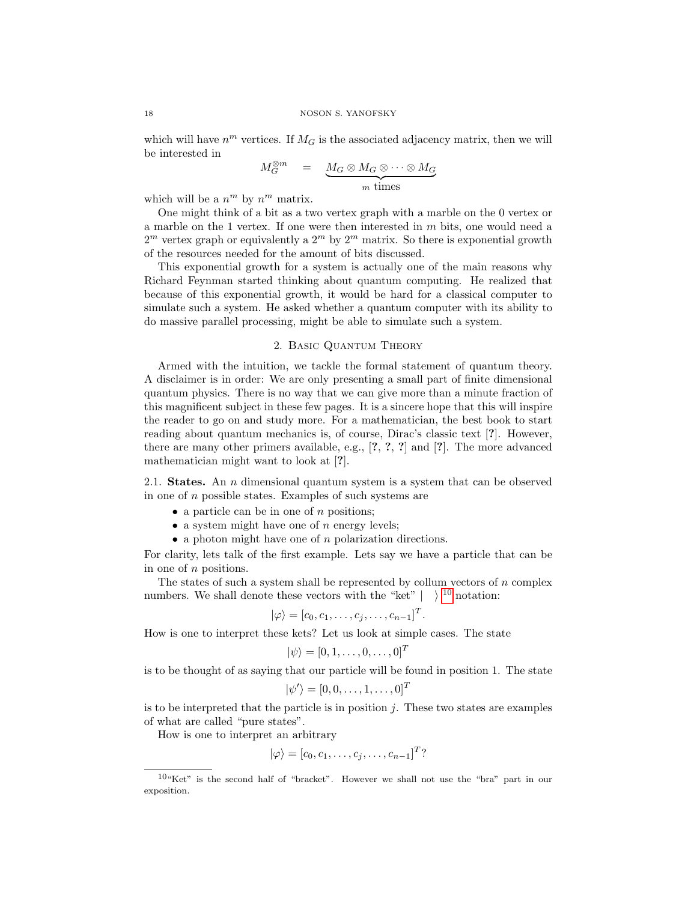which will have  $n^m$  vertices. If  $M_G$  is the associated adjacency matrix, then we will be interested in

$$
M_G^{\otimes m} = \underbrace{M_G \otimes M_G \otimes \cdots \otimes M_G}_{m \text{ times}}
$$

which will be a  $n^m$  by  $n^m$  matrix.

One might think of a bit as a two vertex graph with a marble on the 0 vertex or a marble on the 1 vertex. If one were then interested in m bits, one would need a  $2^m$  vertex graph or equivalently a  $2^m$  by  $2^m$  matrix. So there is exponential growth of the resources needed for the amount of bits discussed.

This exponential growth for a system is actually one of the main reasons why Richard Feynman started thinking about quantum computing. He realized that because of this exponential growth, it would be hard for a classical computer to simulate such a system. He asked whether a quantum computer with its ability to do massive parallel processing, might be able to simulate such a system.

# 2. Basic Quantum Theory

<span id="page-17-0"></span>Armed with the intuition, we tackle the formal statement of quantum theory. A disclaimer is in order: We are only presenting a small part of finite dimensional quantum physics. There is no way that we can give more than a minute fraction of this magnificent subject in these few pages. It is a sincere hope that this will inspire the reader to go on and study more. For a mathematician, the best book to start reading about quantum mechanics is, of course, Dirac's classic text [?]. However, there are many other primers available, e.g., [?, ?, ?] and [?]. The more advanced mathematician might want to look at [?].

<span id="page-17-1"></span>2.1. States. An n dimensional quantum system is a system that can be observed in one of n possible states. Examples of such systems are

- $\bullet$  a particle can be in one of *n* positions;
- a system might have one of  $n$  energy levels;
- $\bullet$  a photon might have one of n polarization directions.

For clarity, lets talk of the first example. Lets say we have a particle that can be in one of n positions.

The states of such a system shall be represented by collum vectors of  $n$  complex numbers. We shall denote these vectors with the "ket"  $| \rangle$  <sup>[10](#page-17-2)</sup> notation:

$$
|\varphi\rangle=[c_0,c_1,\ldots,c_j,\ldots,c_{n-1}]^T.
$$

How is one to interpret these kets? Let us look at simple cases. The state

$$
|\psi\rangle = [0, 1, \dots, 0, \dots, 0]^T
$$

is to be thought of as saying that our particle will be found in position 1. The state

$$
|\psi'\rangle=[0,0,\ldots,1,\ldots,0]^T
$$

is to be interpreted that the particle is in position  $j$ . These two states are examples of what are called "pure states".

How is one to interpret an arbitrary

$$
|\varphi\rangle = [c_0, c_1, \dots, c_j, \dots, c_{n-1}]^T?
$$

<span id="page-17-2"></span> $10$ "Ket" is the second half of "bracket". However we shall not use the "bra" part in our exposition.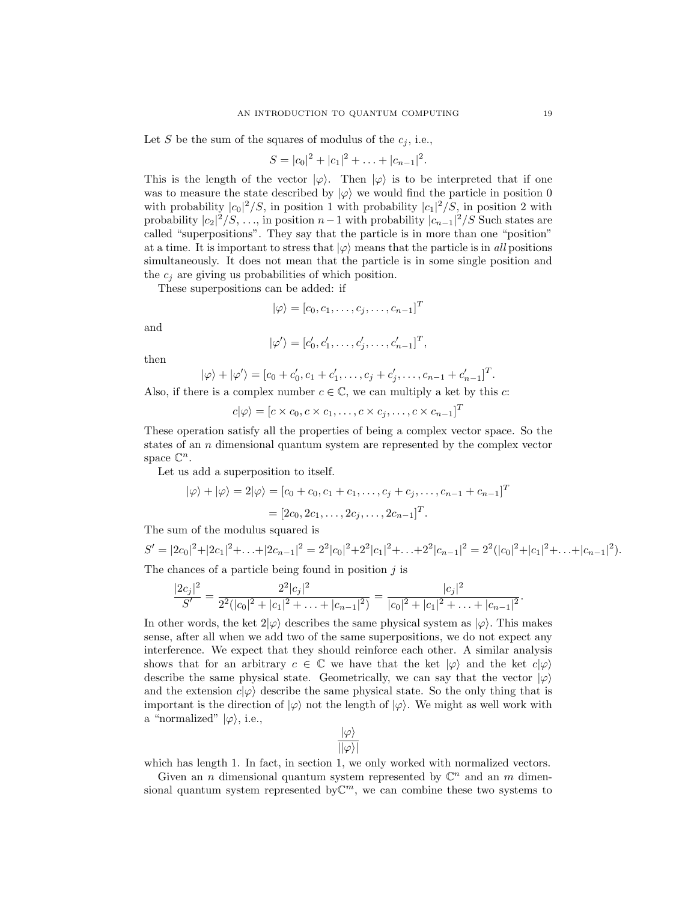Let S be the sum of the squares of modulus of the  $c_i$ , i.e.,

$$
S = |c_0|^2 + |c_1|^2 + \ldots + |c_{n-1}|^2.
$$

This is the length of the vector  $|\varphi\rangle$ . Then  $|\varphi\rangle$  is to be interpreted that if one was to measure the state described by  $|\varphi\rangle$  we would find the particle in position 0 with probability  $|c_0|^2/S$ , in position 1 with probability  $|c_1|^2/S$ , in position 2 with probability  $|c_2|^2/S, \ldots$ , in position  $n-1$  with probability  $|c_{n-1}|^2/S$  Such states are called "superpositions". They say that the particle is in more than one "position" at a time. It is important to stress that  $|\varphi\rangle$  means that the particle is in all positions simultaneously. It does not mean that the particle is in some single position and the  $c_i$  are giving us probabilities of which position.

These superpositions can be added: if

$$
|\varphi\rangle=[c_0,c_1,\ldots,c_j,\ldots,c_{n-1}]^T
$$

and

$$
|\varphi'\rangle=[c'_0,c'_1,\ldots,c'_j,\ldots,c'_{n-1}]^T,
$$

then

$$
|\varphi\rangle + |\varphi'\rangle = [c_0 + c'_0, c_1 + c'_1, \dots, c_j + c'_j, \dots, c_{n-1} + c'_{n-1}]^T.
$$

Also, if there is a complex number  $c \in \mathbb{C}$ , we can multiply a ket by this c:

$$
c|\varphi\rangle = [c \times c_0, c \times c_1, \dots, c \times c_j, \dots, c \times c_{n-1}]^T
$$

These operation satisfy all the properties of being a complex vector space. So the states of an n dimensional quantum system are represented by the complex vector space  $\mathbb{C}^n$ .

Let us add a superposition to itself.

$$
|\varphi\rangle + |\varphi\rangle = 2|\varphi\rangle = [c_0 + c_0, c_1 + c_1, \dots, c_j + c_j, \dots, c_{n-1} + c_{n-1}]^T
$$
  
=  $[2c_0, 2c_1, \dots, 2c_j, \dots, 2c_{n-1}]^T$ .

The sum of the modulus squared is

$$
S' = |2c_0|^2 + |2c_1|^2 + \ldots + |2c_{n-1}|^2 = 2^2|c_0|^2 + 2^2|c_1|^2 + \ldots + 2^2|c_{n-1}|^2 = 2^2(|c_0|^2 + |c_1|^2 + \ldots + |c_{n-1}|^2).
$$
  
The chances of a particle being found in position *j* is

$$
\frac{|2c_j|^2}{S'}=\frac{2^2|c_j|^2}{2^2(|c_0|^2+|c_1|^2+\ldots+|c_{n-1}|^2)}=\frac{|c_j|^2}{|c_0|^2+|c_1|^2+\ldots+|c_{n-1}|^2}.
$$

In other words, the ket  $2|\varphi\rangle$  describes the same physical system as  $|\varphi\rangle$ . This makes sense, after all when we add two of the same superpositions, we do not expect any interference. We expect that they should reinforce each other. A similar analysis shows that for an arbitrary  $c \in \mathbb{C}$  we have that the ket  $|\varphi\rangle$  and the ket  $c|\varphi\rangle$ describe the same physical state. Geometrically, we can say that the vector  $|\varphi\rangle$ and the extension  $c|\varphi\rangle$  describe the same physical state. So the only thing that is important is the direction of  $|\varphi\rangle$  not the length of  $|\varphi\rangle$ . We might as well work with a "normalized"  $|\varphi\rangle$ , i.e.,

$$
\frac{|\varphi\rangle}{||\varphi\rangle|}
$$

which has length 1. In fact, in section 1, we only worked with normalized vectors.

Given an n dimensional quantum system represented by  $\mathbb{C}^n$  and an m dimensional quantum system represented by  $\mathbb{C}^m$ , we can combine these two systems to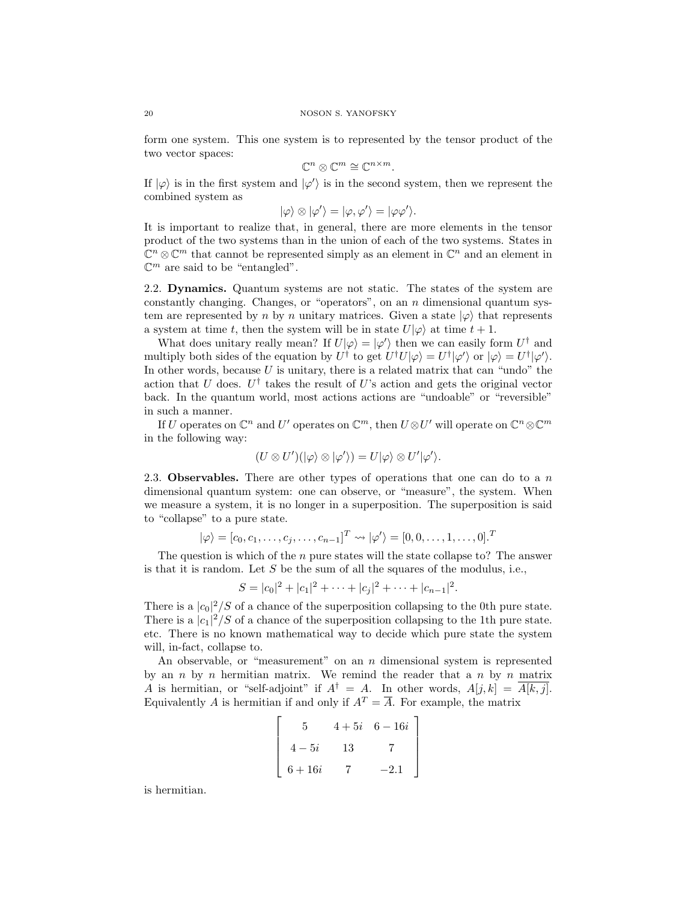form one system. This one system is to represented by the tensor product of the two vector spaces:

$$
\mathbb{C}^n \otimes \mathbb{C}^m \cong \mathbb{C}^{n \times m}.
$$

If  $|\varphi\rangle$  is in the first system and  $|\varphi'\rangle$  is in the second system, then we represent the combined system as

$$
|\varphi\rangle \otimes |\varphi'\rangle = |\varphi, \varphi'\rangle = |\varphi\varphi'\rangle.
$$

It is important to realize that, in general, there are more elements in the tensor product of the two systems than in the union of each of the two systems. States in  $\mathbb{C}^n \otimes \mathbb{C}^m$  that cannot be represented simply as an element in  $\mathbb{C}^n$  and an element in  $\mathbb{C}^m$  are said to be "entangled".

<span id="page-19-0"></span>2.2. Dynamics. Quantum systems are not static. The states of the system are constantly changing. Changes, or "operators", on an  $n$  dimensional quantum system are represented by n by n unitary matrices. Given a state  $|\varphi\rangle$  that represents a system at time t, then the system will be in state  $U|\varphi\rangle$  at time  $t + 1$ .

What does unitary really mean? If  $U|\varphi\rangle = |\varphi'\rangle$  then we can easily form  $U^{\dagger}$  and multiply both sides of the equation by  $U^{\dagger}$  to get  $U^{\dagger}U|\varphi\rangle = U^{\dagger}|\varphi'\rangle$  or  $|\varphi\rangle = U^{\dagger}|\varphi'\rangle$ . In other words, because  $U$  is unitary, there is a related matrix that can "undo" the action that U does.  $U^{\dagger}$  takes the result of U's action and gets the original vector back. In the quantum world, most actions actions are "undoable" or "reversible" in such a manner.

If U operates on  $\mathbb{C}^n$  and U' operates on  $\mathbb{C}^m$ , then  $U \otimes U'$  will operate on  $\mathbb{C}^n \otimes \mathbb{C}^m$ in the following way:

$$
(U \otimes U')(|\varphi\rangle \otimes |\varphi'\rangle) = U|\varphi\rangle \otimes U'|\varphi'\rangle.
$$

<span id="page-19-1"></span>2.3. Observables. There are other types of operations that one can do to a  $n$ dimensional quantum system: one can observe, or "measure", the system. When we measure a system, it is no longer in a superposition. The superposition is said to "collapse" to a pure state.

$$
|\varphi\rangle = [c_0, c_1, \dots, c_j, \dots, c_{n-1}]^T \rightsquigarrow |\varphi'\rangle = [0, 0, \dots, 1, \dots, 0]^T
$$

The question is which of the  $n$  pure states will the state collapse to? The answer is that it is random. Let  $S$  be the sum of all the squares of the modulus, i.e.,

$$
S = |c_0|^2 + |c_1|^2 + \dots + |c_j|^2 + \dots + |c_{n-1}|^2.
$$

There is a  $|c_0|^2/S$  of a chance of the superposition collapsing to the 0th pure state. There is a  $|c_1|^2/S$  of a chance of the superposition collapsing to the 1th pure state. etc. There is no known mathematical way to decide which pure state the system will, in-fact, collapse to.

An observable, or "measurement" on an  $n$  dimensional system is represented by an n by n hermitian matrix. We remind the reader that a  $n$  by  $n$  matrix A is hermitian, or "self-adjoint" if  $A^{\dagger} = A$ . In other words,  $A[j, k] = \overline{A[k, j]}$ . Equivalently A is hermitian if and only if  $A<sup>T</sup> = \overline{A}$ . For example, the matrix

$$
\left[\begin{array}{ccc}5 & 4+5i & 6-16i\\4-5i & 13 & 7\\6+16i & 7 & -2.1\end{array}\right]
$$

is hermitian.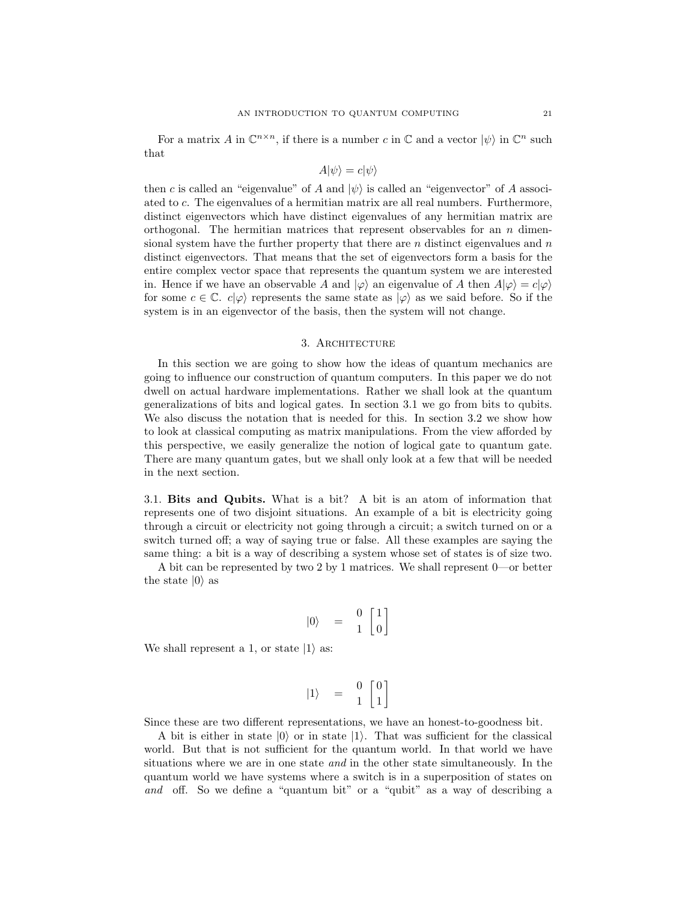For a matrix A in  $\mathbb{C}^{n \times n}$ , if there is a number c in  $\mathbb C$  and a vector  $|\psi\rangle$  in  $\mathbb{C}^n$  such that

$$
A|\psi\rangle = c|\psi\rangle
$$

then c is called an "eigenvalue" of A and  $|\psi\rangle$  is called an "eigenvector" of A associated to c. The eigenvalues of a hermitian matrix are all real numbers. Furthermore, distinct eigenvectors which have distinct eigenvalues of any hermitian matrix are orthogonal. The hermitian matrices that represent observables for an  $n$  dimensional system have the further property that there are  $n$  distinct eigenvalues and  $n$ distinct eigenvectors. That means that the set of eigenvectors form a basis for the entire complex vector space that represents the quantum system we are interested in. Hence if we have an observable A and  $|\varphi\rangle$  an eigenvalue of A then  $A|\varphi\rangle = c|\varphi\rangle$ for some  $c \in \mathbb{C}$ .  $c|\varphi\rangle$  represents the same state as  $|\varphi\rangle$  as we said before. So if the system is in an eigenvector of the basis, then the system will not change.

# 3. ARCHITECTURE

<span id="page-20-0"></span>In this section we are going to show how the ideas of quantum mechanics are going to influence our construction of quantum computers. In this paper we do not dwell on actual hardware implementations. Rather we shall look at the quantum generalizations of bits and logical gates. In section 3.1 we go from bits to qubits. We also discuss the notation that is needed for this. In section 3.2 we show how to look at classical computing as matrix manipulations. From the view afforded by this perspective, we easily generalize the notion of logical gate to quantum gate. There are many quantum gates, but we shall only look at a few that will be needed in the next section.

<span id="page-20-1"></span>3.1. Bits and Qubits. What is a bit? A bit is an atom of information that represents one of two disjoint situations. An example of a bit is electricity going through a circuit or electricity not going through a circuit; a switch turned on or a switch turned off; a way of saying true or false. All these examples are saying the same thing: a bit is a way of describing a system whose set of states is of size two.

A bit can be represented by two 2 by 1 matrices. We shall represent 0—or better the state  $|0\rangle$  as

$$
|0\rangle = \begin{array}{cc} 0 \\ 1 \end{array} \begin{bmatrix} 1 \\ 0 \end{bmatrix}
$$

We shall represent a 1, or state  $|1\rangle$  as:

$$
|1\rangle = \begin{array}{cc} 0 \\ 1 \end{array} \begin{bmatrix} 0 \\ 1 \end{bmatrix}
$$

Since these are two different representations, we have an honest-to-goodness bit.

A bit is either in state  $|0\rangle$  or in state  $|1\rangle$ . That was sufficient for the classical world. But that is not sufficient for the quantum world. In that world we have situations where we are in one state and in the other state simultaneously. In the quantum world we have systems where a switch is in a superposition of states on and off. So we define a "quantum bit" or a "qubit" as a way of describing a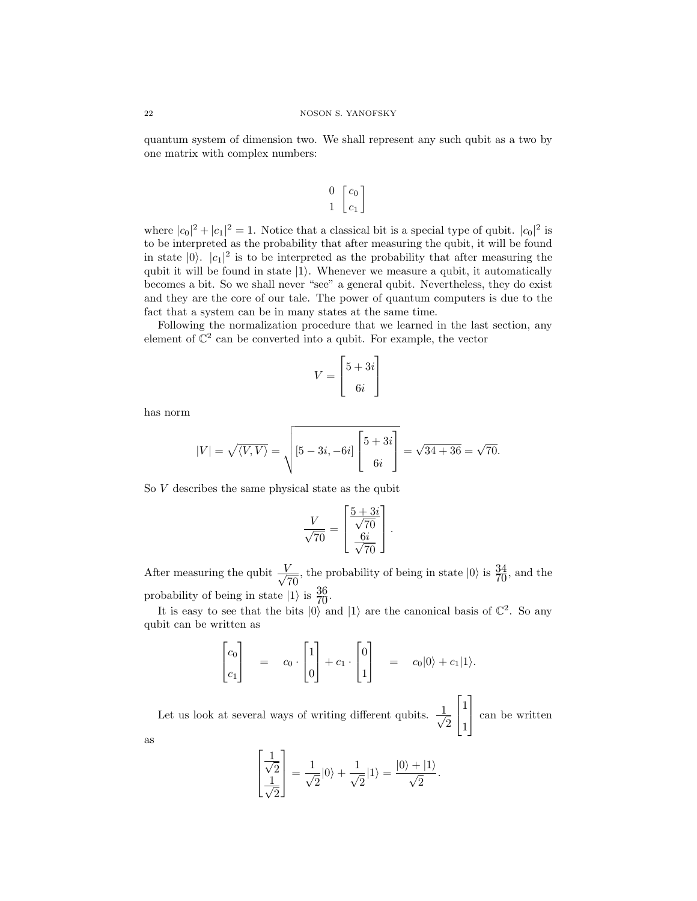quantum system of dimension two. We shall represent any such qubit as a two by one matrix with complex numbers:

$$
\begin{bmatrix} 0 & c_0 \\ 1 & c_1 \end{bmatrix}
$$

where  $|c_0|^2 + |c_1|^2 = 1$ . Notice that a classical bit is a special type of qubit.  $|c_0|^2$  is to be interpreted as the probability that after measuring the qubit, it will be found in state  $|0\rangle$ .  $|c_1|^2$  is to be interpreted as the probability that after measuring the qubit it will be found in state  $|1\rangle$ . Whenever we measure a qubit, it automatically becomes a bit. So we shall never "see" a general qubit. Nevertheless, they do exist and they are the core of our tale. The power of quantum computers is due to the fact that a system can be in many states at the same time.

Following the normalization procedure that we learned in the last section, any element of  $\mathbb{C}^2$  can be converted into a qubit. For example, the vector

$$
V = \begin{bmatrix} 5+3i \\ 6i \end{bmatrix}
$$

has norm

$$
|V| = \sqrt{\langle V, V \rangle} = \sqrt{[5 - 3i, -6i] \begin{bmatrix} 5 + 3i \\ 6i \end{bmatrix}} = \sqrt{34 + 36} = \sqrt{70}.
$$

So V describes the same physical state as the qubit

$$
\frac{V}{\sqrt{70}} = \begin{bmatrix} \frac{5+3i}{\sqrt{70}} \\ \frac{6i}{\sqrt{70}} \end{bmatrix}.
$$

After measuring the qubit  $\frac{V}{\sqrt{2}}$  $\frac{7}{70}$ , the probability of being in state  $|0\rangle$  is  $\frac{34}{70}$ , and the probability of being in state  $|1\rangle$  is  $\frac{36}{70}$ .

It is easy to see that the bits  $|0\rangle$  and  $|1\rangle$  are the canonical basis of  $\mathbb{C}^2$ . So any qubit can be written as

$$
\begin{bmatrix} c_0 \\ c_1 \end{bmatrix} = c_0 \cdot \begin{bmatrix} 1 \\ 0 \end{bmatrix} + c_1 \cdot \begin{bmatrix} 0 \\ 1 \end{bmatrix} = c_0 |0\rangle + c_1 |1\rangle.
$$

Let us look at several ways of writing different qubits.  $\frac{1}{\sqrt{2}}$ 2  $\lceil$  $\overline{1}$ 1 1 1 can be written as

$$
\begin{bmatrix} \frac{1}{\sqrt{2}} \\ \frac{1}{\sqrt{2}} \end{bmatrix} = \frac{1}{\sqrt{2}} |0\rangle + \frac{1}{\sqrt{2}} |1\rangle = \frac{|0\rangle + |1\rangle}{\sqrt{2}}.
$$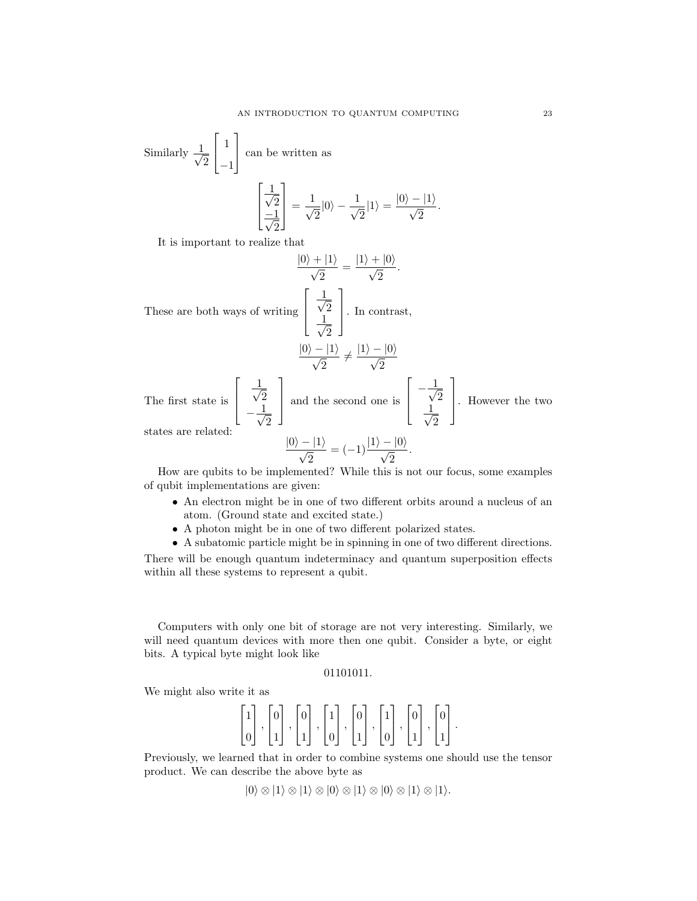2 .

Similarly 
$$
\frac{1}{\sqrt{2}} \begin{bmatrix} 1 \\ -1 \end{bmatrix}
$$
 can be written as  

$$
\begin{bmatrix} \frac{1}{\sqrt{2}} \\ \frac{-1}{\sqrt{2}} \end{bmatrix} = \frac{1}{\sqrt{2}} |0\rangle - \frac{1}{\sqrt{2}} |1\rangle = \frac{|0\rangle - |1\rangle}{\sqrt{2}}
$$

It is important to realize that

$$
\frac{|0\rangle + |1\rangle}{\sqrt{2}} = \frac{|1\rangle + |0\rangle}{\sqrt{2}}.
$$
  
These are both ways of writing 
$$
\left[\begin{array}{c} \frac{1}{\sqrt{2}} \\ \frac{1}{\sqrt{2}} \end{array}\right].
$$
 In contrast,
$$
\frac{|0\rangle - |1\rangle}{\sqrt{2}} \neq \frac{|1\rangle - |0\rangle}{\sqrt{2}}
$$
  
The first state is 
$$
\left[\begin{array}{c} \frac{1}{\sqrt{2}} \\ -\frac{1}{\sqrt{2}} \end{array}\right]
$$
 and the second one is 
$$
\left[\begin{array}{c} -\frac{1}{\sqrt{2}} \\ \frac{1}{\sqrt{2}} \end{array}\right].
$$
 However the two states are related:
$$
\frac{|0\rangle - |1\rangle}{\sqrt{2}} = (-1)\frac{|1\rangle - |0\rangle}{\sqrt{2}}.
$$

How are qubits to be implemented? While this is not our focus, some examples of qubit implementations are given:

- An electron might be in one of two different orbits around a nucleus of an atom. (Ground state and excited state.)
- A photon might be in one of two different polarized states.
- A subatomic particle might be in spinning in one of two different directions.

There will be enough quantum indeterminacy and quantum superposition effects within all these systems to represent a qubit.

Computers with only one bit of storage are not very interesting. Similarly, we will need quantum devices with more then one qubit. Consider a byte, or eight bits. A typical byte might look like

01101011.

We might also write it as

$$
\begin{bmatrix} 1 \\ 0 \end{bmatrix}, \begin{bmatrix} 0 \\ 1 \end{bmatrix}, \begin{bmatrix} 0 \\ 1 \end{bmatrix}, \begin{bmatrix} 1 \\ 0 \end{bmatrix}, \begin{bmatrix} 0 \\ 1 \end{bmatrix}, \begin{bmatrix} 1 \\ 0 \end{bmatrix}, \begin{bmatrix} 0 \\ 1 \end{bmatrix}, \begin{bmatrix} 0 \\ 1 \end{bmatrix}.
$$

Previously, we learned that in order to combine systems one should use the tensor product. We can describe the above byte as

$$
|0\rangle \otimes |1\rangle \otimes |1\rangle \otimes |0\rangle \otimes |1\rangle \otimes |0\rangle \otimes |1\rangle \otimes |1\rangle.
$$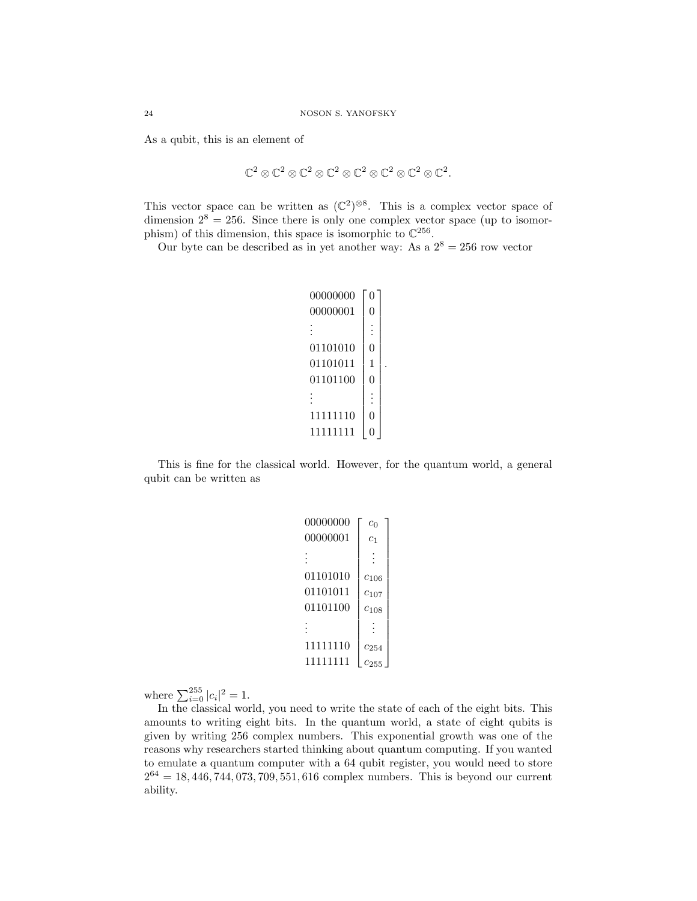As a qubit, this is an element of

$$
\mathbb{C}^2\otimes\mathbb{C}^2\otimes\mathbb{C}^2\otimes\mathbb{C}^2\otimes\mathbb{C}^2\otimes\mathbb{C}^2\otimes\mathbb{C}^2\otimes\mathbb{C}^2.
$$

This vector space can be written as  $(\mathbb{C}^2)^{\otimes 8}$ . This is a complex vector space of dimension  $2^8 = 256$ . Since there is only one complex vector space (up to isomorphism) of this dimension, this space is isomorphic to  $\mathbb{C}^{256}$ .

Our byte can be described as in yet another way: As a  $2^8 = 256$  row vector

```
\lceil\overline{1}\overline{1}\overline{1}\overline{1}\overline{1}\boldsymbol{0}\overline{1}\mathbf{1}\overline{1}\overline{0}\overline{1}\overline{1}\overline{1}\overline{1}\overline{\phantom{a}}\overline{1}00000000 [0
00000001 0
 .
 .
 .
                                            .
.
.
01101010 0
01101011 1
01101100 0
 .
 .
 .
                                            .
.
.
11111110
11111111 0
                                                 1
                                                 \perp\perp\overline{1}\overline{1}\overline{1}\overline{1}\overline{1}\overline{1}\overline{1}\overline{1}\overline{1}\overline{1}\overline{1}\overline{1}\overline{1}\overline{1}\overline{1}.
```
This is fine for the classical world. However, for the quantum world, a general qubit can be written as

| 00000000 | C∩             |
|----------|----------------|
| 00000001 | c <sub>1</sub> |
|          |                |
| 01101010 | $c_{106}$      |
| 01101011 | $c_{107}$      |
| 01101100 | $c_{108}$      |
|          |                |
| 11111110 | $c_{254}$      |
| 11111111 | $c_{255}$      |

where  $\sum_{i=0}^{255} |c_i|^2 = 1$ .

In the classical world, you need to write the state of each of the eight bits. This amounts to writing eight bits. In the quantum world, a state of eight qubits is given by writing 256 complex numbers. This exponential growth was one of the reasons why researchers started thinking about quantum computing. If you wanted to emulate a quantum computer with a 64 qubit register, you would need to store  $2^{64} = 18,446,744,073,709,551,616$  complex numbers. This is beyond our current ability.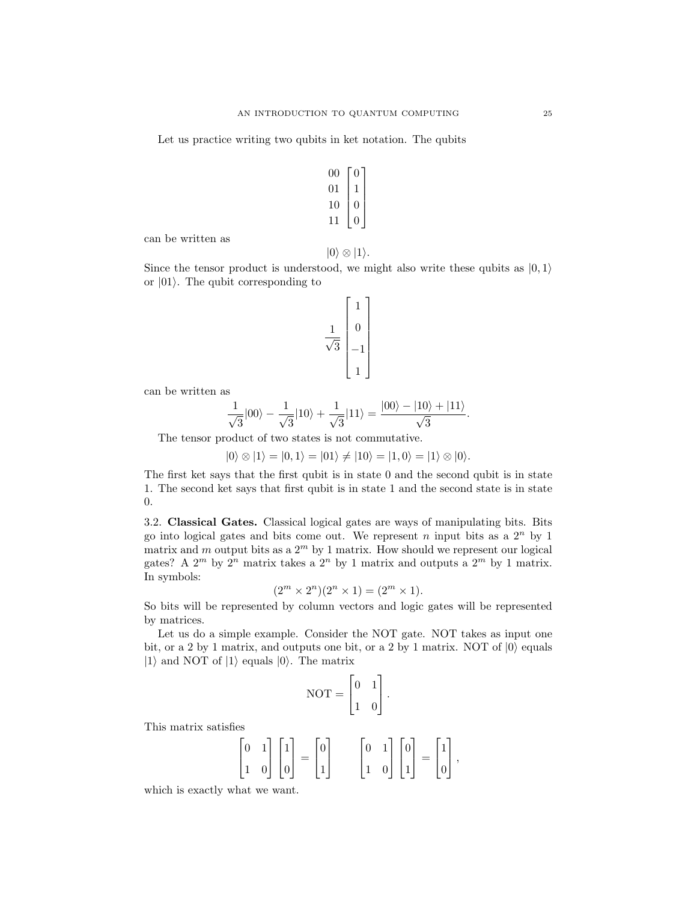Let us practice writing two qubits in ket notation. The qubits

$$
\begin{bmatrix} 00 \\ 01 \\ 10 \\ 10 \\ 11 \end{bmatrix} \begin{bmatrix} 0 \\ 1 \\ 0 \\ 0 \end{bmatrix}
$$

can be written as

$$
|0\rangle \otimes |1\rangle.
$$

Since the tensor product is understood, we might also write these qubits as  $|0, 1\rangle$ or  $|01\rangle$ . The qubit corresponding to

$$
\frac{1}{\sqrt{3}} \begin{bmatrix} 1 \\ 0 \\ -1 \\ 1 \end{bmatrix}
$$

can be written as

$$
\frac{1}{\sqrt{3}}|00\rangle - \frac{1}{\sqrt{3}}|10\rangle + \frac{1}{\sqrt{3}}|11\rangle = \frac{|00\rangle - |10\rangle + |11\rangle}{\sqrt{3}}.
$$

The tensor product of two states is not commutative.

$$
|0\rangle \otimes |1\rangle = |0,1\rangle = |01\rangle \neq |10\rangle = |1,0\rangle = |1\rangle \otimes |0\rangle.
$$

The first ket says that the first qubit is in state 0 and the second qubit is in state 1. The second ket says that first qubit is in state 1 and the second state is in state 0.

<span id="page-24-0"></span>3.2. Classical Gates. Classical logical gates are ways of manipulating bits. Bits go into logical gates and bits come out. We represent n input bits as a  $2^n$  by 1 matrix and  $m$  output bits as a  $2^m$  by 1 matrix. How should we represent our logical gates? A  $2^m$  by  $2^n$  matrix takes a  $2^n$  by 1 matrix and outputs a  $2^m$  by 1 matrix. In symbols:

$$
(2^m \times 2^n)(2^n \times 1) = (2^m \times 1).
$$

So bits will be represented by column vectors and logic gates will be represented by matrices.

Let us do a simple example. Consider the NOT gate. NOT takes as input one bit, or a 2 by 1 matrix, and outputs one bit, or a 2 by 1 matrix. NOT of  $|0\rangle$  equals  $|1\rangle$  and NOT of  $|1\rangle$  equals  $|0\rangle$ . The matrix

$$
NOT = \begin{bmatrix} 0 & 1 \\ 1 & 0 \end{bmatrix}.
$$

This matrix satisfies

$$
\begin{bmatrix} 0 & 1 \\ 1 & 0 \end{bmatrix} \begin{bmatrix} 1 \\ 0 \end{bmatrix} = \begin{bmatrix} 0 \\ 1 \end{bmatrix} \qquad \begin{bmatrix} 0 & 1 \\ 1 & 0 \end{bmatrix} \begin{bmatrix} 0 \\ 1 \end{bmatrix} = \begin{bmatrix} 1 \\ 0 \end{bmatrix},
$$

which is exactly what we want.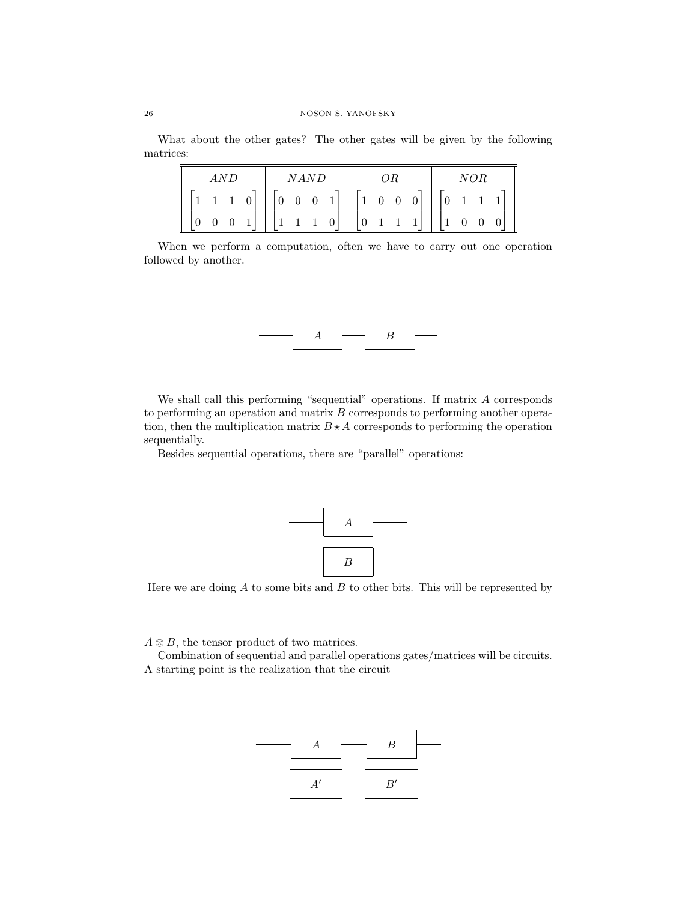What about the other gates? The other gates will be given by the following matrices:

| AND | NAND | ΟR       | NOR |  |  |
|-----|------|----------|-----|--|--|
|     |      | $\theta$ |     |  |  |
|     |      |          |     |  |  |

When we perform a computation, often we have to carry out one operation followed by another.



We shall call this performing "sequential" operations. If matrix A corresponds to performing an operation and matrix  $B$  corresponds to performing another operation, then the multiplication matrix  $B \star A$  corresponds to performing the operation sequentially.

Besides sequential operations, there are "parallel" operations:



Here we are doing  $A$  to some bits and  $B$  to other bits. This will be represented by

 $A \otimes B$ , the tensor product of two matrices.

Combination of sequential and parallel operations gates/matrices will be circuits. A starting point is the realization that the circuit

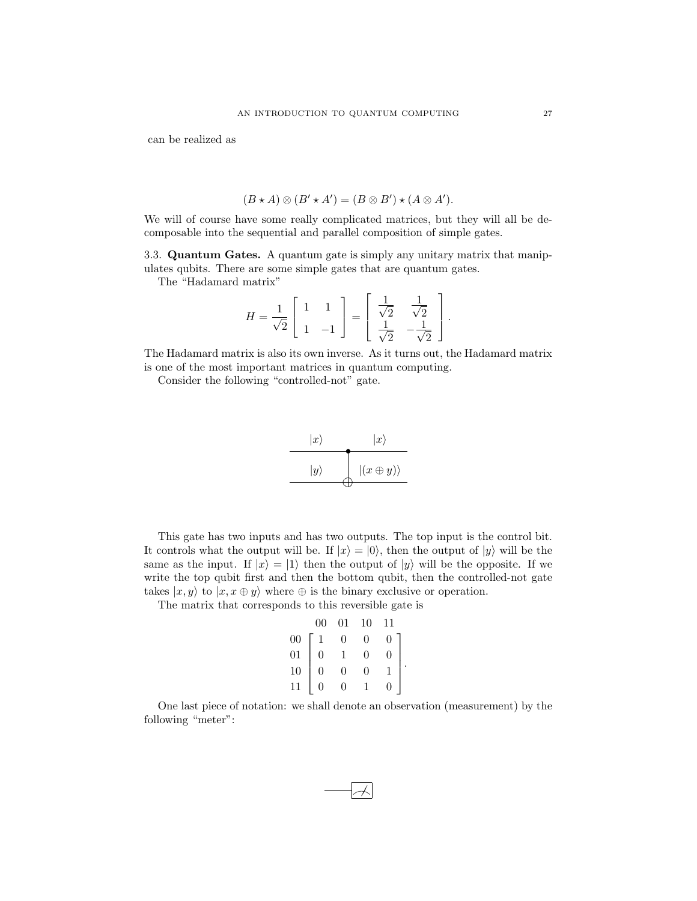can be realized as

$$
(B \star A) \otimes (B' \star A') = (B \otimes B') \star (A \otimes A').
$$

We will of course have some really complicated matrices, but they will all be decomposable into the sequential and parallel composition of simple gates.

<span id="page-26-0"></span>3.3. Quantum Gates. A quantum gate is simply any unitary matrix that manipulates qubits. There are some simple gates that are quantum gates.

The "Hadamard matrix"

$$
H = \frac{1}{\sqrt{2}} \begin{bmatrix} 1 & 1 \\ 1 & -1 \end{bmatrix} = \begin{bmatrix} \frac{1}{\sqrt{2}} & \frac{1}{\sqrt{2}} \\ \frac{1}{\sqrt{2}} & -\frac{1}{\sqrt{2}} \end{bmatrix}.
$$

The Hadamard matrix is also its own inverse. As it turns out, the Hadamard matrix is one of the most important matrices in quantum computing.

Consider the following "controlled-not" gate.



This gate has two inputs and has two outputs. The top input is the control bit. It controls what the output will be. If  $|x\rangle = |0\rangle$ , then the output of  $|y\rangle$  will be the same as the input. If  $|x\rangle = |1\rangle$  then the output of  $|y\rangle$  will be the opposite. If we write the top qubit first and then the bottom qubit, then the controlled-not gate takes  $|x, y\rangle$  to  $|x, x \oplus y\rangle$  where  $\oplus$  is the binary exclusive or operation.

The matrix that corresponds to this reversible gate is

|                      | 00             | 01       | 10             | 11 |  |
|----------------------|----------------|----------|----------------|----|--|
|                      |                | 0        | 0              |    |  |
|                      | $\overline{0}$ |          | $\overline{0}$ |    |  |
| 00<br>01<br>10<br>11 | 0              | $\Omega$ | $\overline{0}$ |    |  |
|                      |                | O        |                |    |  |

One last piece of notation: we shall denote an observation (measurement) by the following "meter":

> FE  $\overline{a}$  $\overline{a}$ İ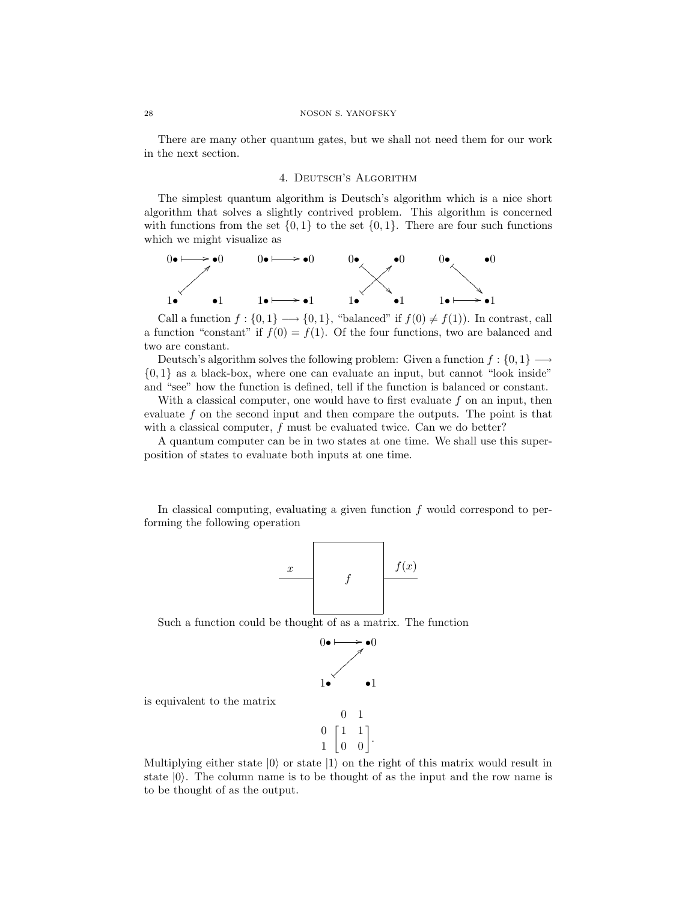There are many other quantum gates, but we shall not need them for our work in the next section.

# 4. DEUTSCH'S ALGORITHM

<span id="page-27-0"></span>The simplest quantum algorithm is Deutsch's algorithm which is a nice short algorithm that solves a slightly contrived problem. This algorithm is concerned with functions from the set  $\{0, 1\}$  to the set  $\{0, 1\}$ . There are four such functions which we might visualize as



Call a function  $f: \{0,1\} \longrightarrow \{0,1\}$ , "balanced" if  $f(0) \neq f(1)$ ). In contrast, call a function "constant" if  $f(0) = f(1)$ . Of the four functions, two are balanced and two are constant.

Deutsch's algorithm solves the following problem: Given a function  $f: \{0,1\} \longrightarrow$  $\{0,1\}$  as a black-box, where one can evaluate an input, but cannot "look inside" and "see" how the function is defined, tell if the function is balanced or constant.

With a classical computer, one would have to first evaluate  $f$  on an input, then evaluate  $f$  on the second input and then compare the outputs. The point is that with a classical computer,  $f$  must be evaluated twice. Can we do better?

A quantum computer can be in two states at one time. We shall use this superposition of states to evaluate both inputs at one time.

In classical computing, evaluating a given function  $f$  would correspond to performing the following operation



Such a function could be thought of as a matrix. The function



is equivalent to the matrix

$$
\begin{array}{cc}\n & 0 & 1 \\
0 & \begin{bmatrix} 1 & 1 \\ 0 & 0 \end{bmatrix}.\n\end{array}
$$

Multiplying either state  $|0\rangle$  or state  $|1\rangle$  on the right of this matrix would result in state  $|0\rangle$ . The column name is to be thought of as the input and the row name is to be thought of as the output.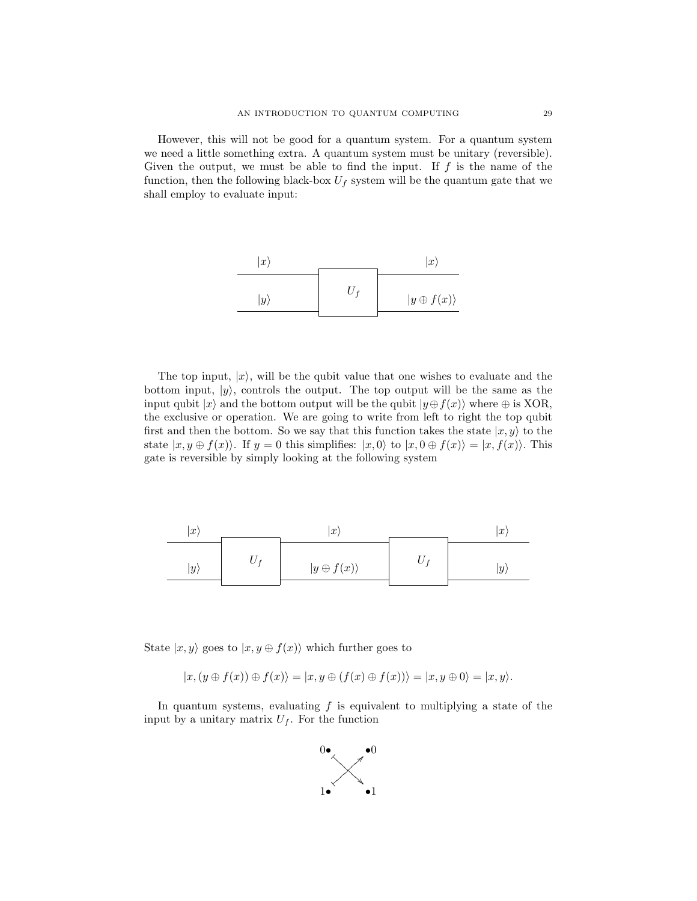However, this will not be good for a quantum system. For a quantum system we need a little something extra. A quantum system must be unitary (reversible). Given the output, we must be able to find the input. If  $f$  is the name of the function, then the following black-box  $U_f$  system will be the quantum gate that we shall employ to evaluate input:



The top input,  $|x\rangle$ , will be the qubit value that one wishes to evaluate and the bottom input,  $|y\rangle$ , controls the output. The top output will be the same as the input qubit  $|x\rangle$  and the bottom output will be the qubit  $|y \oplus f(x)\rangle$  where  $\oplus$  is XOR, the exclusive or operation. We are going to write from left to right the top qubit first and then the bottom. So we say that this function takes the state  $|x, y\rangle$  to the state  $|x, y \oplus f(x)\rangle$ . If  $y = 0$  this simplifies:  $|x, 0\rangle$  to  $|x, 0 \oplus f(x)\rangle = |x, f(x)\rangle$ . This gate is reversible by simply looking at the following system



State  $|x, y\rangle$  goes to  $|x, y \oplus f(x)\rangle$  which further goes to

$$
|x,(y \oplus f(x)) \oplus f(x)| = |x,y \oplus (f(x) \oplus f(x))\rangle = |x,y \oplus 0\rangle = |x,y\rangle.
$$

In quantum systems, evaluating  $f$  is equivalent to multiplying a state of the input by a unitary matrix  $U_f$ . For the function

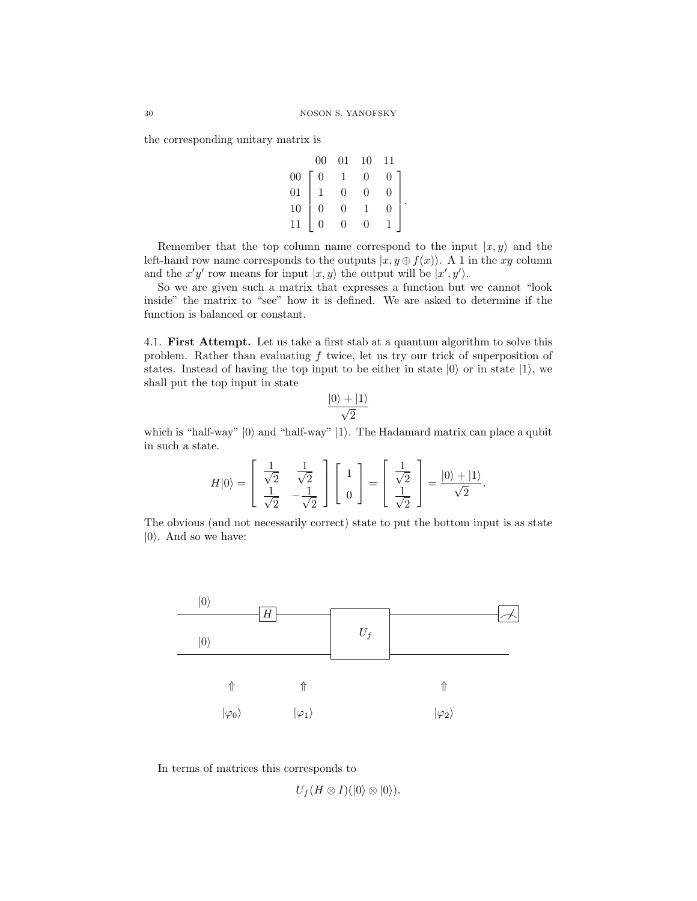the corresponding unitary matrix is

$$
\begin{array}{c|cccc}\n & 00 & 01 & 10 & 11 \\
00 & 0 & 1 & 0 & 0 \\
01 & 1 & 0 & 0 & 0 \\
10 & 0 & 0 & 1 & 0 \\
11 & 0 & 0 & 0 & 1\n\end{array}.
$$

Remember that the top column name correspond to the input  $|x, y\rangle$  and the left-hand row name corresponds to the outputs  $|x, y \oplus f(x) \rangle$ . A 1 in the xy column and the  $x'y'$  row means for input  $|x, y\rangle$  the output will be  $|x', y'\rangle$ .

So we are given such a matrix that expresses a function but we cannot "look inside" the matrix to "see" how it is defined. We are asked to determine if the function is balanced or constant.

<span id="page-29-0"></span>4.1. First Attempt. Let us take a first stab at a quantum algorithm to solve this problem. Rather than evaluating f twice, let us try our trick of superposition of states. Instead of having the top input to be either in state  $|0\rangle$  or in state  $|1\rangle$ , we shall put the top input in state

$$
\frac{|0\rangle + |1\rangle}{\sqrt{2}}
$$

which is "half-way"  $|0\rangle$  and "half-way"  $|1\rangle$ . The Hadamard matrix can place a qubit in such a state.

$$
H|0\rangle = \begin{bmatrix} \frac{1}{\sqrt{2}} & \frac{1}{\sqrt{2}} \\ \frac{1}{\sqrt{2}} & -\frac{1}{\sqrt{2}} \end{bmatrix} \begin{bmatrix} 1 \\ 0 \end{bmatrix} = \begin{bmatrix} \frac{1}{\sqrt{2}} \\ \frac{1}{\sqrt{2}} \end{bmatrix} = \frac{|0\rangle + |1\rangle}{\sqrt{2}}.
$$

The obvious (and not necessarily correct) state to put the bottom input is as state  $|0\rangle$ . And so we have:



In terms of matrices this corresponds to

 $U_f (H \otimes I)(|0\rangle \otimes |0\rangle).$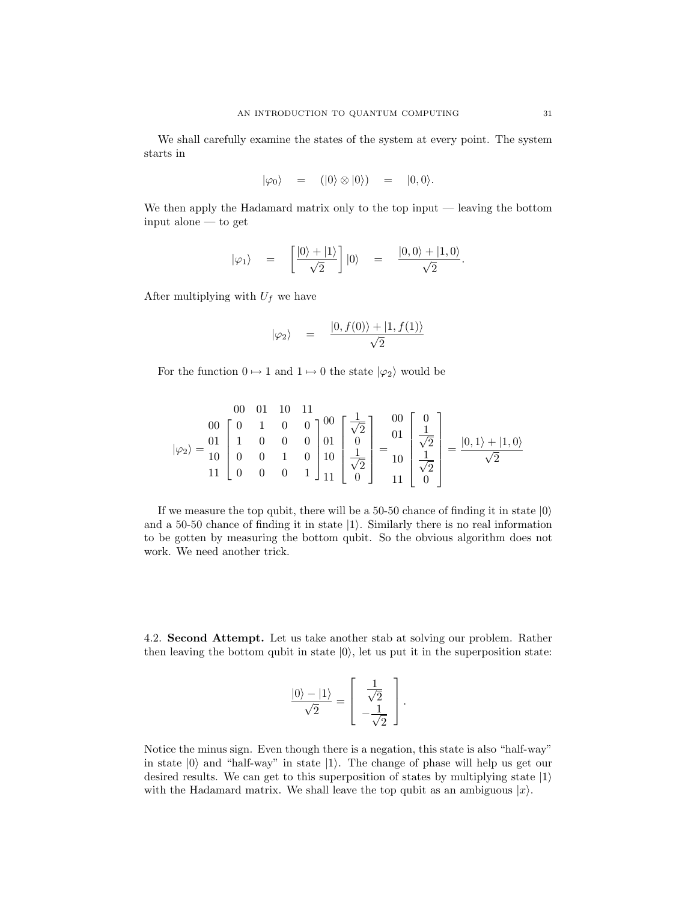We shall carefully examine the states of the system at every point. The system starts in

$$
|\varphi_0\rangle
$$
 =  $(|0\rangle \otimes |0\rangle)$  =  $|0,0\rangle$ .

We then apply the Hadamard matrix only to the top input — leaving the bottom input alone — to get

$$
|\varphi_1\rangle
$$
 =  $\left[\frac{|0\rangle + |1\rangle}{\sqrt{2}}\right]|0\rangle$  =  $\frac{|0,0\rangle + |1,0\rangle}{\sqrt{2}}$ .

After multiplying with  $U_f$  we have

$$
|\varphi_2\rangle = \frac{|0, f(0)\rangle + |1, f(1)\rangle}{\sqrt{2}}
$$

For the function  $0 \mapsto 1$  and  $1 \mapsto 0$  the state  $|\varphi_2\rangle$  would be

$$
|\varphi_2\rangle = \begin{matrix} 00 & 01 & 10 & 11 \\ 0 & 1 & 0 & 0 \\ 10 & 0 & 1 & 0 \\ 11 & 0 & 0 & 0 \\ 11 & 0 & 0 & 0 \end{matrix} \begin{matrix} 00 \\ 0 \\ 0 \\ 1 \\ 0 \end{matrix} \begin{bmatrix} \frac{1}{\sqrt{2}} \\ 0 \\ 10 \\ 11 \end{bmatrix} = \begin{matrix} 00 \\ 0 \\ 1 \\ 0 \\ 11 \end{matrix} \begin{bmatrix} 0 \\ \frac{1}{\sqrt{2}} \\ \frac{1}{\sqrt{2}} \\ 10 \\ 11 \end{bmatrix} = \frac{|0,1\rangle + |1,0\rangle}{\sqrt{2}}
$$

If we measure the top qubit, there will be a 50-50 chance of finding it in state  $|0\rangle$ and a 50-50 chance of finding it in state  $|1\rangle$ . Similarly there is no real information to be gotten by measuring the bottom qubit. So the obvious algorithm does not work. We need another trick.

<span id="page-30-0"></span>4.2. Second Attempt. Let us take another stab at solving our problem. Rather then leaving the bottom qubit in state  $|0\rangle$ , let us put it in the superposition state:

$$
\frac{|0\rangle - |1\rangle}{\sqrt{2}} = \begin{bmatrix} \frac{1}{\sqrt{2}} \\ -\frac{1}{\sqrt{2}} \end{bmatrix}.
$$

Notice the minus sign. Even though there is a negation, this state is also "half-way" in state  $|0\rangle$  and "half-way" in state  $|1\rangle$ . The change of phase will help us get our desired results. We can get to this superposition of states by multiplying state  $|1\rangle$ with the Hadamard matrix. We shall leave the top qubit as an ambiguous  $|x\rangle$ .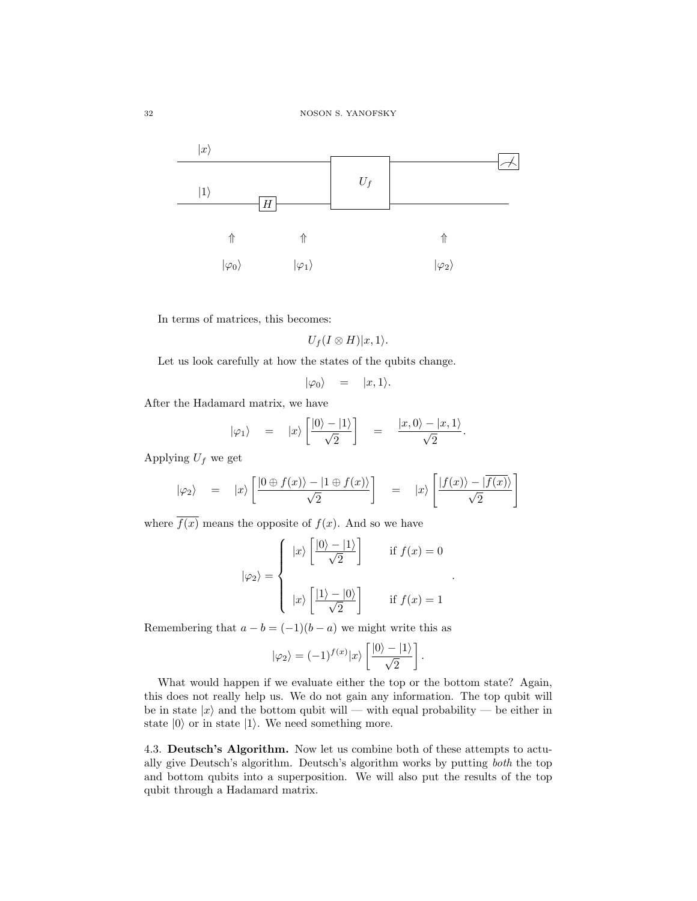

In terms of matrices, this becomes:

$$
U_f(I\otimes H)|x,1\rangle.
$$

Let us look carefully at how the states of the qubits change.

$$
|\varphi_0\rangle = |x,1\rangle.
$$

After the Hadamard matrix, we have

$$
|\varphi_1\rangle
$$
 =  $|x\rangle \left[\frac{|0\rangle - |1\rangle}{\sqrt{2}}\right]$  =  $\frac{|x, 0\rangle - |x, 1\rangle}{\sqrt{2}}$ .

Applying  $U_f$  we get

$$
|\varphi_2\rangle
$$
 =  $|x\rangle \left[ \frac{|0 \oplus f(x)\rangle - |1 \oplus f(x)\rangle}{\sqrt{2}} \right] = |x\rangle \left[ \frac{|f(x)\rangle - |\overline{f(x)}\rangle}{\sqrt{2}} \right]$ 

where  $\overline{f(x)}$  means the opposite of  $f(x)$ . And so we have

$$
|\varphi_2\rangle = \begin{cases} |x\rangle \left[ \frac{|0\rangle - |1\rangle}{\sqrt{2}} \right] & \text{if } f(x) = 0 \\ |x\rangle \left[ \frac{|1\rangle - |0\rangle}{\sqrt{2}} \right] & \text{if } f(x) = 1 \end{cases}
$$

.

Remembering that  $a - b = (-1)(b - a)$  we might write this as

$$
|\varphi_2\rangle = (-1)^{f(x)}|x\rangle \left[\frac{|0\rangle - |1\rangle}{\sqrt{2}}\right].
$$

What would happen if we evaluate either the top or the bottom state? Again, this does not really help us. We do not gain any information. The top qubit will be in state  $|x\rangle$  and the bottom qubit will — with equal probability — be either in state  $|0\rangle$  or in state  $|1\rangle$ . We need something more.

<span id="page-31-0"></span>4.3. Deutsch's Algorithm. Now let us combine both of these attempts to actually give Deutsch's algorithm. Deutsch's algorithm works by putting both the top and bottom qubits into a superposition. We will also put the results of the top qubit through a Hadamard matrix.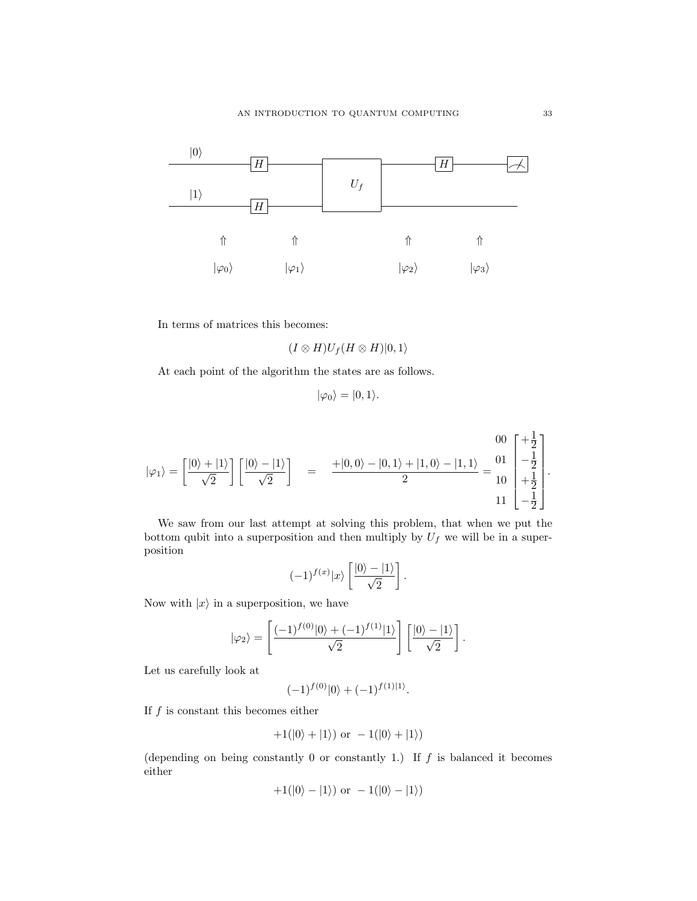

In terms of matrices this becomes:

$$
(I\otimes H)U_f(H\otimes H)|0,1\rangle
$$

At each point of the algorithm the states are as follows.

$$
|\varphi_0\rangle = |0,1\rangle.
$$

$$
|\varphi_1\rangle=\left[\frac{|0\rangle+|1\rangle}{\sqrt{2}}\right]\left[\frac{|0\rangle-|1\rangle}{\sqrt{2}}\right]\quad =\quad \frac{+|0,0\rangle-|0,1\rangle+|1,0\rangle-|1,1\rangle}{2}=\frac{01}{10}\begin{bmatrix}+\frac{1}{2}\\-\frac{1}{2}\\+\frac{1}{2}\\11\\-\frac{1}{2}\end{bmatrix}.
$$

We saw from our last attempt at solving this problem, that when we put the bottom qubit into a superposition and then multiply by  $U_f$  we will be in a superposition

$$
(-1)^{f(x)}|x\rangle\left[\frac{|0\rangle-|1\rangle}{\sqrt{2}}\right].
$$

Now with  $|x\rangle$  in a superposition, we have

$$
|\varphi_2\rangle = \left[\frac{(-1)^{f(0)}|0\rangle + (-1)^{f(1)}|1\rangle}{\sqrt{2}}\right] \left[\frac{|0\rangle - |1\rangle}{\sqrt{2}}\right].
$$

Let us carefully look at

$$
(-1)^{f(0)}|0\rangle + (-1)^{f(1)|1\rangle}.
$$

If  $f$  is constant this becomes either

$$
+1(|0\rangle+|1\rangle)
$$
 or  $-1(|0\rangle+|1\rangle)$ 

(depending on being constantly 0 or constantly 1.) If  $f$  is balanced it becomes either

$$
+1(|0\rangle - |1\rangle) \text{ or } -1(|0\rangle - |1\rangle)
$$